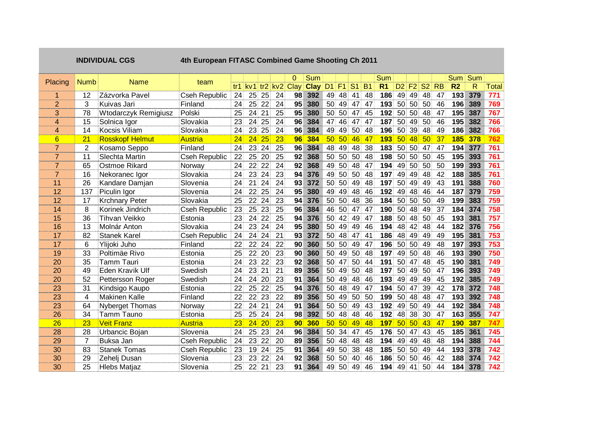|                         |                | <b>INDIVIDUAL CGS</b>  | 4th European FITASC Combined Game Shooting Ch 2011 |                 |                 |                    |                 |                 |                                       |                 |                 |                 |                 |                |                                                           |                                  |                 |           |                  |         |       |
|-------------------------|----------------|------------------------|----------------------------------------------------|-----------------|-----------------|--------------------|-----------------|-----------------|---------------------------------------|-----------------|-----------------|-----------------|-----------------|----------------|-----------------------------------------------------------|----------------------------------|-----------------|-----------|------------------|---------|-------|
| Placing                 | ⊹Numb          | <b>Name</b>            | team                                               |                 |                 |                    |                 | $\Omega$        | <b>Sum</b>                            |                 |                 |                 |                 | <b>Sum</b>     |                                                           |                                  |                 |           |                  | Sum Sum |       |
|                         |                |                        |                                                    |                 |                 |                    |                 |                 | tr1 kv1 tr2 kv2 Clay Clay D1 F1 S1 B1 |                 |                 |                 |                 | R <sub>1</sub> | D2 F2 S2                                                  |                                  |                 | <b>RB</b> | R <sub>2</sub>   | R       | Total |
|                         | 12             | Zázvorka Pavel         | Cseh Republic 24 25 25                             |                 |                 |                    | 24              | 98              | 392                                   |                 | 49 48 41        |                 | 48              | 186            |                                                           | 49 49 48                         |                 | 47        | 193              | 379     | 771   |
| $\overline{2}$          | 3              | Kuivas Jari            | Finland                                            |                 | 24 25 22        |                    | 24              | 95 <sub>1</sub> | 380                                   |                 | 50 49 47        |                 | 47              | 193            |                                                           | 50 50 50                         |                 | 46        | 196              | 389     | 769   |
| 3                       | 78             | Wtodarczyk Remigiusz   | Polski                                             | 25 <sup>2</sup> | 24              | 21                 | 25:             | 95              | 380                                   |                 | 50 50 47        |                 | 45              | 192            |                                                           | 50 50 48                         |                 | 47        | 195              | 387     | 767   |
| $\overline{\mathbf{4}}$ | 15             | Solnica Igor           | Slovakia                                           | 23              |                 | 24 25              | 24              | 96              | 384                                   | 47              | 46.             | 47              | 47              | 187            |                                                           | 50 49 50                         |                 | 46        | 195              | 382     | 766   |
| $\overline{4}$          | 14             | Kocsis Viliam          | Slovakia                                           | 24              |                 | 23 25              | 24              | 96              | 384                                   | 49              | 49              | 50              | 48              | 196            |                                                           |                                  | 48              | 49        | 186              | 382     | 766   |
| 6                       | 21             | <b>Rosskopf Helmut</b> | <b>Austria</b>                                     | 24 <sup>1</sup> | 24              | 25                 | 23              | 96              | 384                                   | 501             | <b>50</b>       | 46              | 47.             | <b>193</b>     | 50 39<br>48<br>50 <sup>1</sup><br>50 50<br>50 50<br>49 50 |                                  | 50              | 37        | 185 <sup>°</sup> | 378     |       |
| $\overline{7}$          | $\overline{c}$ | Kosamo Seppo           | Finland                                            | 24              |                 | 23 24              | 25              | 96              | 384                                   | 48              | 49              | 48              | 38 <sup>°</sup> | 183            |                                                           |                                  | 47              | 47        | 194              | 377     | 761   |
| 7                       | 11             | Slechta Martin         | <b>Cseh Republic</b>                               | $22^{\circ}$    | 25              | 20                 | 25              | 92 <sup>2</sup> | 368                                   |                 | 50 50           | 50              | 48              | 198            |                                                           |                                  | 50 <sub>1</sub> | 45        | 195              | 393     | 761   |
| $\mathbf{7}$            | 65             | Ostmoe Rikard          | Norway                                             | 24 <sup>1</sup> |                 | 22 22              | 24              | 92 <sub>1</sub> | 368                                   |                 | 49 50           | 48              | 47.             | 194            |                                                           |                                  | <b>50</b>       | 50        | 199              | 393     | 761   |
| $\overline{7}$          | 16             | Nekoranec Igor         | Slovakia                                           |                 | 24 23 24        |                    | 23              | 94              | 376                                   |                 | 49 50 50        |                 | 48              | 197            |                                                           |                                  |                 | 42        | 188              | 385     | 761   |
| 11                      | 26             | Kandare Damjan         | Slovenia                                           | 24 -            |                 | 21 24              | 24              | 93 <sub>1</sub> | 372                                   |                 | 50 50 49        |                 | 48              | 197            |                                                           |                                  |                 | 43        | 191              | 388     | 760   |
| 12                      | 137            | Piculin Igor           | Slovenia                                           | 24              |                 | 22 25              | 24              | 95 <sub>1</sub> | 380                                   |                 | 49 49           | -48             | 46.             | 192            |                                                           | 49 49 48<br>50 49 49<br>49 48 46 |                 | 44.       | 187              | 379     | 759   |
| 12                      | 17             | <b>Krchnary Peter</b>  | Slovakia                                           | 25 <sup>2</sup> |                 | 22 24              | 23.             | 94              | 376                                   |                 | 50 50           | 48              | 36 <sup>°</sup> | 184            |                                                           | 50 50 50                         |                 | 49        | 199              | 383     | 759   |
| 14                      | 8              | Korinek Jindrich       | Cseh Republic                                      | 23              |                 | 25 23              | 25              | 96              | 384                                   | 46              | 50              | 47              | 47              | 190            |                                                           | 50 48                            | 49              | 37        | 184              | 374     | 758   |
| 15                      | 36             | <b>Tihvan Veikko</b>   | Estonia                                            | 23              |                 | 24 22              | 25              | 94              | 376                                   | 50              | 42.             | 49              | 47              | 188            |                                                           | 50 48 50                         |                 | 45        | 193              | 381     | 757   |
| 16                      | 13             | Molnár Anton           | Slovakia                                           | 24              | 23.             | 24                 | 24              | 95 <sub>1</sub> | 380                                   | 50              | 49.             | 49              | 46.             | 194            |                                                           | 48 42 48                         |                 | 44        | 182              | 376     | 756   |
| 17                      | 82             | <b>Stanek Karel</b>    | Cseh Republic                                      | 24 <sup>1</sup> |                 | 24 24              | 21              | 93              | 372                                   |                 | 50 48           | 47              | 41.             | 186            |                                                           | 48 49 49                         |                 | 49        | 195              | 381     | 753   |
| 17                      | 6              | Ylijoki Juho           | Finland                                            | 22 <sub>1</sub> | 22 <sub>1</sub> | 24                 | 22              | 90 <sub>1</sub> | 360                                   |                 | 50 50           | 49              | 47.             | 196            |                                                           | 50 50 49                         |                 | 48        | 197              | 393     | 753   |
| 19                      | 33             | Poltimäe Rivo          | Estonia                                            |                 | 25 22           | 20                 | 23              | 90 <sub>1</sub> | 360                                   |                 | 50 49           | 50 <sub>l</sub> | 48              | 197            |                                                           | 49 50 48                         |                 | 46        | 193              | 390     | 750   |
| 20                      | 35             | Tamm Tauri             | Estonia                                            | 24              | 23              | 22                 | 23              | 92              | 368                                   | 50              | 47              | 50              | 44              | 191            |                                                           | 50 47 48                         |                 | 45        | 190              | 381     | 749   |
| 20                      | 49             | Eden Kravik Ulf        | Swedish                                            | 24              | 23              | 21                 | 21              | 89              | 356                                   | 50              | 49              | 50              | 48              | 197            |                                                           | 50 49                            | 50              | 47        | 196              | 393     | 749   |
| 20                      | 52             | Pettersson Roger       | Swedish                                            | 24              |                 | 24 20              | 23              | 91              | 364                                   | 50 <sup>°</sup> | 49              | 48              | 46.             | 193            |                                                           | 49 49                            | 49              | 45        | 192              | 385     | 749   |
| 23                      | 31             | Kindsigo Kaupo         | Estonia                                            | 22.             |                 | 25 22              | 25              | 94              | 376                                   | 50 <sup>°</sup> | 48.             | 49              | 47.             | 194            |                                                           | 50 47                            | 39              | 42        | 178              | 372     | 748   |
| 23                      | 4              | Makinen Kalle          | Finland                                            | $22 -$          |                 | 22 23              | 22              | 89              | 356                                   | 50 <sub>1</sub> | 49.             | 50              | 50 <sup>°</sup> | 199            |                                                           | 50 48 48                         |                 | 47        | 193              | 392     | 748   |
| 23                      | 64             | <b>Nyberget Thomas</b> | Norway                                             | 22              |                 | 24 21              | 24              | 91 <sup>1</sup> | 364                                   |                 | 50 50           | 49              | 43              | 192            |                                                           | 49 50 49                         |                 | 44        | 192              | 384     | 748   |
| 26                      | 34             | Tamm Tauno             | Estonia                                            | $25 -$          |                 | 25 24              | 24              | 98 <sup>1</sup> | 392                                   |                 | 50 48           | 48              | 46              | 192            |                                                           | 48 38                            | <b>30</b>       | 47        | 163              | 355     | 747   |
| 26                      | 23             | <b>Veit Franz</b>      | <b>Austria</b>                                     | 23 <sup>1</sup> |                 | $24 \overline{20}$ | 23              |                 | 90 360                                |                 | $50\,50\,49$    |                 | <b>48</b>       | 197 50 50 43   |                                                           |                                  |                 | 47        | 190 387          |         | 747.  |
| 28                      | 28             | Urbancic Bojan         | Slovenia                                           | 24              |                 | 25 23              | 24 <sub>1</sub> | 96 <sup>°</sup> | 384                                   |                 | 50 34 47        |                 | 45              | 176            |                                                           | 50 47 43                         |                 | 45        | 185              | 361     | 745   |
| 29                      | $\overline{7}$ | Buksa Jan              | <b>Cseh Republic</b>                               | 24              |                 | 23 22              | 20              | 89              | 356                                   |                 | 50 48           | -48             | 48.             | 194            |                                                           | 49 49 48                         |                 | 48        | 194              | 388     | 744   |
| 30                      | 83             | <b>Stanek Tomas</b>    | Cseh Republic                                      | 23              | 19              | 24                 | 25              | 91              | 364                                   |                 | 49 50           | 38              | 48              | 185            |                                                           | 50 50 49                         |                 | 44        | 193              | 378     | 742   |
| 30                      | 29             | Zehelj Dusan           | Slovenia                                           | 23              |                 | 23 22              | 24              | 92 <sub>1</sub> | 368                                   | 50 <sup>°</sup> | 50 <sub>1</sub> | 40              | 46              | 186            |                                                           | 50 50 46                         |                 | 42        | 188              | 374     | 742   |
| 30                      | 25             | <b>Hlebs Matjaz</b>    | Slovenia                                           | 25              |                 | 22 21              | 23              | 91 <sup>1</sup> | 364                                   |                 | 49 50 49        |                 | 46              | 194            |                                                           | 49 41                            | -50)            | -44       | 184              | 378     | 742   |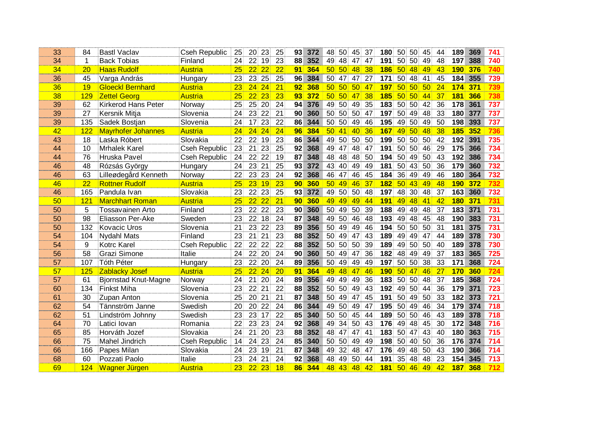| 33 | 84  | Bastl Vaclav                | <b>Cseh Republic</b> | 25.             | 20 23                 | 25.                                | 93 372                 |                 | 48 50 45        | 37.                          | 180              |                    | 50 50 45              | 44.             | 1891             | 369            | 741 |
|----|-----|-----------------------------|----------------------|-----------------|-----------------------|------------------------------------|------------------------|-----------------|-----------------|------------------------------|------------------|--------------------|-----------------------|-----------------|------------------|----------------|-----|
| 34 | 1   | <b>Back Tobias</b>          | Finland              | 24.             | 22 19                 | 23                                 | 88<br>352              |                 | 49 48           | 47<br>47.                    | 191              | 50.                | .50<br>49             | 48              | 197              | 388            | 740 |
| 34 | 20  | <b>Haas Rudolf</b>          | Austria              | 25 <sub>1</sub> | 22 <sub>1</sub><br>22 | 22                                 | 364<br>91 <sup>1</sup> |                 | 50 50           | 38 <sup>1</sup><br>-48       | <b>186 50</b>    |                    | -48<br>49             | 43              | 190 <sub>1</sub> | 376            | 740 |
| 36 | 45  | Varga András                | Hungary              | 23.             | 23 25                 | 25                                 | 96 384                 |                 | 50.47           | 27.<br>47                    | 171              | 50 48              | -41                   | 45.             | 184              | 355            | 739 |
| 36 | 19  | <b>Gloeckl Bernhard</b>     | <b>Austria</b>       | 23              | $24 \ 24$             | 21                                 | 92 <sub>1</sub><br>368 |                 | 50 50 50        | <b>47</b>                    | 1971             | .50 L              | <b>501</b><br>50      | 24 <sub>1</sub> | 174              | 371            | 739 |
| 38 | 129 | <b>Zettel Georg</b>         | <b>Austria</b>       | 25 <sup>1</sup> | 22 <sub>1</sub>       | $23^{\circ}$<br>23                 | 931<br>-372            |                 | 50 50 1         | 38<br>-47                    |                  | <b>185 50 50 l</b> | 44                    | 37 <sub>1</sub> |                  | <b>181 366</b> | 738 |
| 39 | 62  | <b>Kirkerod Hans Peter</b>  | Norway               | 25 <sub>1</sub> | 25 20                 | 24                                 | 94 <sup>1</sup><br>376 |                 | 49 50           | 35<br>49)                    | 183              | .50 ·              | 50.<br>-42            | 36              | 178              | 361            | 737 |
| 39 | 27  | Kersnik Mitja               | Slovenia             | 24.             | 23 22                 | 21                                 | 90<br>360              |                 | 50 50 50        | 47.                          |                  | 197 50             | 48<br>49.             | 33              | <b>180</b>       | 377            | 737 |
| 39 | 135 | Sadek Bostjan               | Slovenia             | 24.             | $17 \t23$             | 22                                 | 86<br>344              |                 | 50 50 49        | 46.                          |                  | 195 49 50          | -49                   | 50 <sub>1</sub> |                  | 198 393        | 737 |
| 42 | 122 | <b>Mayrhofer Johannes</b>   | <b>Austria</b>       | 24 <sub>1</sub> | 24 <sup>°</sup>       | 24 <sup>1</sup><br>24 <sub>1</sub> | 384<br><b>96</b>       |                 | 50 41 40        | 36                           | 167 <sup>1</sup> | 491                | 50 <sup>1</sup><br>48 | 38              | 185 <sup>1</sup> | 352            | 736 |
| 43 | 18  | Laska Róbert                | Slovakia             | $22^{\circ}$    | 22 19                 | 23                                 | 86<br>344              |                 | 49 50 50        | 50                           |                  | 199 50 50          | 50                    | 42              | 192              | 391            | 735 |
| 44 | 10  | <b>Mrhalek Karel</b>        | <b>Cseh Republic</b> | 23              | 21 23                 | 25                                 | 368<br>92 <sup>1</sup> |                 | 49 47           | 48<br>47.                    | 191              | 50 50              | -46                   | 29              | 175              | 366            | 734 |
| 44 | 76  | Hruska Pavel                | <b>Cseh Republic</b> | 24              | 22 22                 | 19                                 | 87<br>348              |                 | 48 48           | 50<br>-48)                   | 194              | 50 49              | 50                    | 43              | 192              | 386            | 734 |
| 46 | 48  | Rózsás György               | Hungary              | 24              | 23 21                 | 25 <sub>1</sub>                    | 93 <sup>°</sup><br>372 |                 | 43 40 49        | 49.                          | 181              | 50 43              | -50                   | 36              | 179              | 360            | 732 |
| 46 | 63  | Lilleødegård Kenneth        | Norway               | 22              | 23 23                 | 24                                 | 368<br>92              |                 | 46 47           | 46<br>45                     | 184              | 36                 | 49.<br>49             | 46              | <b>180</b>       | 364            | 732 |
| 46 | 22  | <b>Rottner Rudolf</b>       | <b>Austria</b>       | 25 <sub>1</sub> | 23 19                 | 23 <sup>1</sup>                    | 90 360                 |                 | $50 \ 49 \ 46$  | 37                           | $182$ 50         |                    | <b>431</b><br>-49     | 48              |                  | 190 372        |     |
| 46 | 165 | Pandula Ivan                | Slovakia             | 23              | 22 23                 | 25                                 | 93 372                 |                 | 49 50 50        | 48                           |                  |                    | 197 48 30 48          | 37 <sup>2</sup> | 163 360          |                | 732 |
| 50 | 121 | <b>Marchhart Roman</b>      | Austria              | 25 <sub>1</sub> | $22 \ 22$             | 21                                 | 90 <sub>1</sub><br>360 |                 | 49 49 1         | 49   44                      | 191              | <b>491</b>         | <b>48</b><br>-41      | 42              | 180 <sub>1</sub> | 371            | 731 |
| 50 | 5   | Tossavainen Arto            | Finland              | 23              | 22 22                 | 23.                                | 360<br>90 <sub>1</sub> |                 | 50 49           | -50)<br>39.                  | 188              | 49 49              | -48                   | 37 <sup>2</sup> | 183 <sup>°</sup> | 371            | 731 |
| 50 | 98  | Eliasson Per-Ake            | Sweden               | 23              | 22<br>18              | 24                                 | 87<br>348              |                 | 49 50           | 46<br>48                     | 193              | 49                 | 48.<br>45             | 48              | <b>190</b>       | 383            | 731 |
| 50 | 132 | <b>Kovacic Uros</b>         | Slovenia             | 21 <sup>2</sup> | 23<br>$22^{\circ}$    | 23 <sup>1</sup>                    | 89<br>356              |                 | 50 49           | 46<br>-49)                   | 194              | 50                 | 50.<br>-50            | 31 <sup>2</sup> | 181              | 375            | 731 |
| 54 | 104 | <b>Nydahl Mats</b>          | Finland              | 23              | 21<br>21              | 23                                 | 352<br>88              |                 | 50 49           | 43.<br>-47                   | 189              | 49                 | 49<br>47              | 44              | <b>189</b>       | 378            | 730 |
| 54 | 9   | <b>Kotrc Karel</b>          | <b>Cseh Republic</b> | 22              | 22 <sub>1</sub><br>22 | 22                                 | 88<br>352              |                 | 50 50 50        | 39                           | 189              | 49                 | 50<br>50              | 40              | 189              | 378            | 730 |
| 56 | 58  | Grazi Simone                | Italie               | 24              | 22.<br>20             | 24                                 | 90 <sup>1</sup><br>360 | 50 <sup>1</sup> | 49.             | 36<br>47                     | 182              | 48                 | 49<br>49              | 37              | 183              | 365            | 725 |
| 57 | 107 | <b>Tóth Péter</b>           | Hungary              | 23              | 22 <sub>1</sub>       | 24<br>$20^{\circ}$                 | 89<br>356              | 50              | 49              | 49<br>49                     | 197              | 50                 | 50 <sub>1</sub><br>38 | 33              | 171              | 368            | 724 |
| 57 | 125 | Zablacky Josef              | Austria              | 25 <sub>1</sub> | 24<br>$\overline{22}$ | 20 <sub>1</sub>                    | 91<br>364              | 49              | 48              | 46<br>-47                    | <b>190</b>       | <b>50</b>          | 46<br>471             | 27              | 170              | 360            | 724 |
| 57 | 61  | <b>Bjornstad Knut-Magne</b> | Norway               | 24              | 21                    | $20^{\circ}$<br>24                 | 89<br>356              |                 | 49 49 49        | 36                           | 183              | 50 <sup>°</sup>    | .50<br>48             | 37              | 185              | 368            | 724 |
| 60 | 134 | <b>Finkst Miha</b>          | Slovenia             | 23              | 22 <sub>1</sub><br>21 | 22                                 | 352<br>88              |                 | 50 50           | -49)<br>43                   | 192              | 49                 | 50 <sub>1</sub><br>44 | 36              | 179              | 371            | 723 |
| 61 | 30  | <b>Zupan Anton</b>          | Slovenia             | 25 <sub>1</sub> | 21<br>20              | 21                                 | 348<br>87              |                 | 50 49           | -47<br>45                    | 191              | 50 <sub>1</sub>    | -49.<br>50            | 33              | 182              | 373            | 721 |
| 62 | 54  | Tännström Janne             | Swedish              | 20              | 20<br>22              | 24                                 | 86<br>344              |                 | 49 50           | 49)<br>47                    | 195              | 50                 | 49.<br>46             | 34              | 179              | 374            | 718 |
| 62 | 51  | Lindström Johnny            | Swedish              | 23.             | 23<br>17              | 22                                 | 85<br>340              |                 | 50 50           | -45<br>44.                   | 189              | 50.                | 50 <sub>1</sub><br>46 | 43              | 189              | 378            | 718 |
| 64 | 70  | Latici Iovan                | Romania              | 22              | 23<br>23              | 24                                 | 92<br>368              | 49              | 34              | <b>50</b><br>43              | 176              | 49.                | 48<br>45              | 30              | 172              | 348            | 716 |
| 65 | 85  | Horváth Jozef               | Slovakia             | 24              | 20<br>21              | 23                                 | 88<br>352              |                 | 48 47           | -41<br>47                    | 183              | 50                 | 43<br>47              | 40              | 180              | 363            | 715 |
| 66 | 75  | Mahel Jindrich              | <b>Cseh Republic</b> | 14 <sup>°</sup> | 24 <sup>2</sup><br>23 | 24                                 | 85 <sub>1</sub><br>340 |                 | 50 50           | 49<br>49.                    | 198              | 50.                | 40.<br>50             | 36              | 1761             | 374            | 714 |
| 66 | 166 | Papes Milan                 | Slovakia             | 24              | 23<br>19.             | 21                                 | 87<br>348              | 49.             | 32 <sub>2</sub> | -48<br>47.                   | 176              | 49.                | 48<br>50              | 43              | 190              | 366            | 714 |
| 68 | 60  | Pozzati Paolo               | Italie               | 23              | 24                    | 21<br>24                           | 368<br>92 <sub>1</sub> | 48.             | 49.             | 50<br>44.                    | 191              | 35                 | 48<br>48              | 23              | 154 <sup>1</sup> | 345            | 713 |
| 69 | 124 | <b>Wagner Jürgen</b>        | Austria              | 23 <sup>1</sup> | 22 <sup>1</sup>       | 23<br>18                           | 86<br>344              |                 | 48 43           | <b>48</b><br>42 <sub>1</sub> | 181              | 50 <sup>1</sup>    | 46<br>49              | 42              | 187 <sup>°</sup> | 368            | 712 |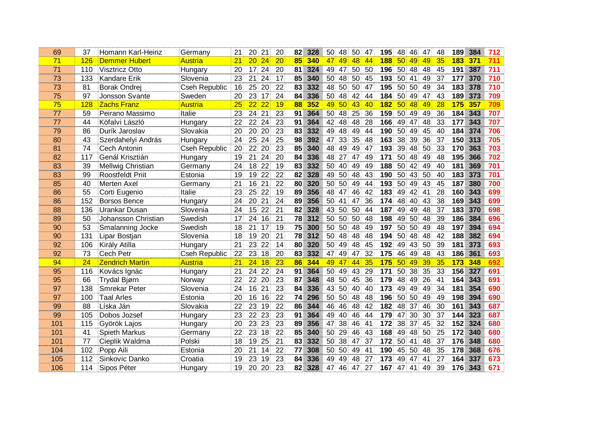| 69         | 37  | Homann Karl-Heinz       | Germany              | $21 -$          |                 | 20 21           | 20 | 82              | 328 | 50.<br>-48                         | 50<br>47.             | 195              | 48.46           | 47                    | 48              | 189              | 384     | 712 |
|------------|-----|-------------------------|----------------------|-----------------|-----------------|-----------------|----|-----------------|-----|------------------------------------|-----------------------|------------------|-----------------|-----------------------|-----------------|------------------|---------|-----|
| 71         | 126 | <b>Demmer Hubert</b>    | <b>Austria</b>       | 21 <sup>1</sup> | 20 <sub>1</sub> | 24              | 20 | 85              | 340 | 49<br>471                          | 48<br> 44             | <b>188</b>       | 50 <sup>°</sup> | 49<br>49              | 35              | <b>183</b>       | 371     | 711 |
| 71         | 110 | <b>Visztricz Otto</b>   | Hungary              | 20 <sub>1</sub> |                 | 17 24           | 20 | 81              | 324 | 49 47                              | 50<br>50              | 196              | 50 48           | 48                    | 45              | 191              | 387     | 711 |
| 73         | 133 | Kandare Erik            | Slovenia             | 23.             | 21 <sup>1</sup> | 24              | 17 | 85              | 340 | 50.<br>-48:                        | 50.<br>45             | 193              | $50 -$          | 41.<br>49             | 37              | 177              | 370     | 710 |
| 73         | 81  | Borak Ondrej            | <b>Cseh Republic</b> | 16 <sup>1</sup> |                 | 25 20           | 22 | 831             | 332 | 48<br>50 ·                         | 50<br>47.             | 195              | 50 50           | 49                    | 34              | 183 <sup>°</sup> | 378     | 710 |
| 75         | 97  | Jonsson Svante          | Sweden               | 20.             | 23.             | 17              | 24 | 84.             | 336 | 50 48 42                           | 44.                   | 184              | 50 49           | 47                    | 43              | 189              | 373     | 709 |
| 75         | 128 | <b>Zachs Franz</b>      | Austria              |                 | 22              | 22              | 19 | 88              | 352 | 49.<br><b>50</b>                   | 43<br><b>40</b>       | 182              | 50 <sup>°</sup> | 48<br>49              | 28              | 175              | 357     | 709 |
| 77         | 59  | Peirano Massimo         | Italie               | 23              | 24 21           |                 | 23 | 91              | 364 | 48<br>50.                          | 25<br>36              | 159              | 50 49           | 49                    | 36              | 184              | 343     | 707 |
| 77         | 44  | Köfalvi László          | Hungary              | $22^{\circ}$    | $22^{\circ}$    | 24              | 23 | 91.             | 364 | 42 48                              | -48)<br>28.           | 166.             | 49.47           | 48                    | 33              | 1771             | 343     | 707 |
| 79         | 86  | Durík Jaroslav          | Slovakia             | $20^{\circ}$    | 20 <sup>1</sup> | 20              | 23 | 83              | 332 | -49<br>48.                         | 49<br>44.             | 190              | 50.             | 49.<br>45             | 40              | 1841             | 374     | 706 |
| 80         | 43  | Szerdahelyi András      | Hungary              | 24              | 25              | 24              | 25 | 98              | 392 | 47 33                              | 35<br>48              | 163              | 38              | 39<br>36              | 37              |                  | 150 313 | 705 |
| 81         | 74  | Cech Antonin            | <b>Cseh Republic</b> | 20 <sup>1</sup> |                 | 22 20           | 23 | 85 <sup>1</sup> | 340 | 48 49                              | -49)<br>47.           | 193              | 39 48           | 50                    | 33              | 170              | 363     | 703 |
| 82         | 117 | Genál Krisztián         | Hungary              | 19.             | 21              | 24              | 20 | 84              | 336 | 48.27                              | 49.<br>47             | 171              | 50 48           | -49                   | 48              | 195              | 366     | 702 |
| 83         | 39  | Mellwig Christian       | Germany              | 24 -            |                 | 18 22           | 19 | 83              | 332 | 50 40 49                           | 49.                   | 188              | 50 42           | -49                   | 40              | 181              | 369     | 701 |
| 83         | 99  | <b>Roostfeldt Priit</b> | Estonia              | 19              |                 | 19 22           | 22 | 82              | 328 | 49 50                              | 48<br>43              | 190              | 50 43           | 50                    | 40              | 183              | 373     | 701 |
| 85         | 40  | <b>Merten Axel</b>      | Germany              | 21 <sup>1</sup> |                 | 16 21           | 22 | 80              | 320 | 50 50 49                           | 44.                   |                  |                 | 193 50 49 43          | 45              | 187              | 380     | 700 |
| 86         | 55  | Corti Eugenio           | Italie               | 23              |                 | 25 22           | 19 | 89              | 356 | 48 47 46                           | 42.                   |                  | 183 49 42       | -41                   | 28              | 160              | 343     | 699 |
| 86         | 152 | <b>Borsos Bence</b>     | Hungary              | 24 <sup>1</sup> |                 | 20 21           | 24 | 89              | 356 | 50 41                              | 36 <sup>°</sup><br>47 |                  |                 | 174 48 40 43          | 38              | 169              | 343     | 699 |
| 88         | 136 | Urankar Dusan           | Slovenia             | 24              |                 | 15 22           | 21 | 82              | 328 | 43 50 50                           | -44                   | 187              | 49.49           | 48                    | 37              | 183              | 370     | 698 |
| 89         | 50  | Johansson Christian     | Swedish              | 17 <sup>2</sup> | 24              | 16              | 21 | 78              | 312 | 50 50 50                           | 48.                   | 198              | 49 50           | 48                    | 39              | 186              | 384     | 696 |
| 90         | 53  | Smalanning Jocke        | Swedish              | 18 <sup>1</sup> |                 | 21 17           | 19 | 75              | 300 | 50 50 48                           | 49                    | 197              |                 | 50 50 49              | 48              | 197              | 394     | 694 |
| 90         | 131 | Lipar Bostjan           | Slovenia             | 18              |                 | 19 20           | 21 | 78              | 312 | 50 48                              | -48<br>48.            | 194              |                 | 50 48 48              | 42              | 1881             | 382     | 694 |
| 92         | 106 | Király Atilla           | Hungary              | 21              | 23              | 22              | 14 | 80              | 320 | 50 49                              | 48<br>45              | 192 <sub>1</sub> | 49 43           | -50                   | 39              | 181              | 373     | 693 |
| 92         | 73  | Cech Petr               | <b>Cseh Republic</b> | 22              | 23              | 18              | 20 | 83              | 332 | 47 49                              | 32<br>47              | 175              | 46.             | 49<br>48              | 43              | 186              | 361     | 693 |
| 94         | 24  | <b>Zendrich Martin</b>  | Austria              | 21 <sup>1</sup> |                 | 24 18           | 23 | 86 <sup>°</sup> | 344 | 49 47                              | 44 35                 | 175              | 50 49           | 39                    | 35              | 173              | 348     | 692 |
| 95         | 116 | Kovács Ignác            | Hungary              | 21              |                 | 24 22           | 24 | 91 <sup>1</sup> | 364 | 50 <sup>°</sup><br>49.             | 43<br>29              | 171              | 50 <sup>°</sup> | 38<br>35              | 33              | 156              | 327     | 691 |
| 95         | 66  | Trydal Bjørn            | Norway               | 22 <sub>1</sub> |                 | 22 20           | 23 | 87              | 348 | 48<br>$50^{\circ}$                 | 36<br>45.             | 179              | 48.             | 49.<br>26             | 41              | 164 <sup>°</sup> | 343     | 691 |
| 97         | 138 | <b>Smrekar Peter</b>    | Slovenia             | 24              | 16 <sub>1</sub> | 21              | 23 | 84              | 336 | 43<br>50.                          | 401<br>40.            | 173              | 49.49           | 49                    | 34              | 181              | 354     | 690 |
| 97         | 100 | <b>Taal Arles</b>       | Estonia              | 20 <sup>1</sup> | 16 <sub>1</sub> | 16              | 22 | 74              | 296 | 50 <sub>1</sub><br>50 <sup>°</sup> | 48<br>48.             | 196              | 50 50           | 49                    | 49              | 198              | 394     | 690 |
| 99         | 88  | Líska Ján               | Slovakia             | 22 <sub>1</sub> | 23.             | 19              | 22 | 86              | 344 | 46<br>46.                          | 48<br>42              | 182              | 48              | 37<br>46              | 30 <sup>1</sup> | 161              | 343     | 687 |
| 99         | 105 | Dobos Jozsef            | Hungary              | 23              | 22              | 23              | 23 | 91              | 364 | 49.<br>40                          | 46<br>44              | 179              | 47.             | 30 <sup>°</sup><br>30 | 37              | 144              | 323     | 687 |
| 101        | 115 | Györök Lajos            | Hungary              | 20              | 23              | 23              | 23 | 89              | 356 | 47<br>38                           | 46<br>-41             | 172              | 38              | 37<br>45              | 32              | 152              | 324     | 680 |
| 101        | 41  | <b>Spieth Markus</b>    | Germany              | 22 <sub>1</sub> | 23              | 18              | 22 | 85              | 340 | 29.<br>50 <sup>°</sup>             | 46<br>43              | 168              | 49.             | 48<br>50              | 25              | 172              | 340     | 680 |
| <b>101</b> | 77  | Cieplik Waldma          | Polski               | 18 <sup>°</sup> | 19              | 25              | 21 | 83              | 332 | 50 <sup>1</sup><br>38              | 37<br>47              | 172              | 50 <sup>°</sup> | 41.<br>48             | 37              | 176              | 348     | 680 |
| 104        | 102 | Popp Aili               | Estonia              | 20              | 21              | 14              | 22 | 77              | 308 | 50<br>50 <sub>1</sub>              | 49.<br>-41            | 190              | 45.             | <b>50</b><br>-48      | 35              | 178              | 368     | 676 |
| 105        | 112 | Sinkovic Danko          | Croatia              | 19              | 23              | 19              | 23 | 841             | 336 | 49.<br>49.                         | 27<br>48              | 173              | 49.             | 47.<br>41             | 27              | 164              | 337     | 673 |
| 106        | 114 | Sipos Péter             | Hungary              | 19              | 20              | 20 <sup>1</sup> | 23 | 82              | 328 | 47 46                              | 27<br>47              | 167              | 47.             | 41.<br>49             | 39              | 176              | 343     | 671 |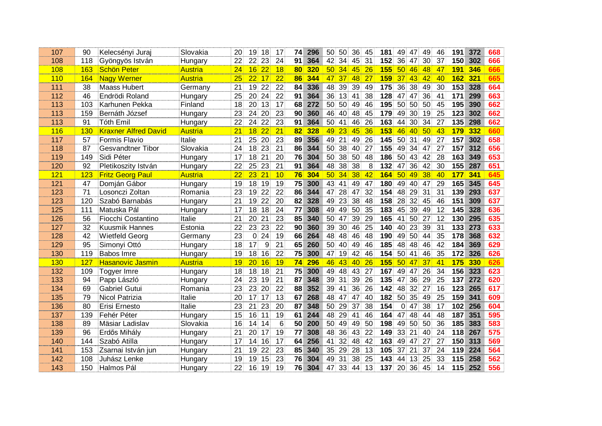| 107        | 90  | Kelecsényi Juraj            | Slovakia       | 20.             |                 | 19 18           | 17              | 74.             | 296 |                 | 50 50           |                 | 36 45           | 181              | 49 47 49        |                 |     | 46.             | 191.             | 372     | 668 |
|------------|-----|-----------------------------|----------------|-----------------|-----------------|-----------------|-----------------|-----------------|-----|-----------------|-----------------|-----------------|-----------------|------------------|-----------------|-----------------|-----|-----------------|------------------|---------|-----|
| 108        | 118 | Gyöngyös István             | Hungary        | $22^{\circ}$    | $22^{\circ}$    | 23              | 24              | 91 <sup>1</sup> | 364 | 42.             | 34 <sub>1</sub> | 45              | 31 <sup>2</sup> | 152 <sub>1</sub> |                 | 36.47           | 30  | 37              | 150 <sup>°</sup> | 302     | 666 |
| 108        | 163 | <b>Schön Peter</b>          | <b>Austria</b> | $24^{\circ}$    |                 | $16$ 22         | 18              | <b>80</b>       | 320 |                 | 50.34           | 451             | <b>26</b>       | <u> 155  </u>    | $50 \, 46$      |                 | 48  | 47              |                  | 191 346 |     |
| 110        | 164 | <b>Nagy Werner</b>          | <b>Austria</b> | 25 <sup>1</sup> |                 | $22 \quad 171$  | 22              | <b>86</b>       | 344 |                 | 47.37.          | <b>48</b>       | 27 <sup>1</sup> | 1591             | <b>37 43</b>    |                 | 42  | 40 <sup>1</sup> | 162 321          |         |     |
| 111        | 38  | Maass Hubert                | Germany        | 21.             |                 | 19 22           | 22              | 84              | 336 |                 | 48 39           | -39             | -49             | 175              | 36 38           |                 | -49 | 30 <sup>°</sup> | 153 328          |         | 664 |
| 112        | 46  | Endrödi Roland              | Hungary        | 25 <sup>1</sup> | 20              | $24^{\circ}$    | 22              | 91 <sup>1</sup> | 364 |                 | 36 13           | -41             | 38              | 128              | 47.             | 47.             | -36 | 41 <sup>3</sup> | 171              | 299     | 663 |
| 113        | 103 | Karhunen Pekka              | Finland        | 18.             |                 | 20 13           | 17              | 68              | 272 |                 | 50 50           | 49              | 46.             | 195              | 50 <sub>1</sub> | 50 <sub>1</sub> | -50 | 45              | 195              | 390     | 662 |
| 113        | 159 | Bernáth József              | Hungary        | 23              |                 | 24 20           | 23              | 90 <sup>1</sup> | 360 |                 | 46 40           | 48∖             | 45              | 179              | 49 30 19        |                 |     | 25              | 123              | 302     | 662 |
| 113        | 91  | <b>Tóth Emil</b>            | Hungary        | 22 <sup>2</sup> |                 | 24 22           | 23              | 91 <sup>°</sup> | 364 |                 | 50 41           | 46.             | <b>26</b>       | 163 <sub>1</sub> | 44 30 34        |                 |     | 27.             | 135 <sup>2</sup> | 298     | 662 |
| 116        | 130 | <b>Kraxner Alfred David</b> | <b>Austria</b> | 21              | 18 <sup>1</sup> | 22              | 21              | 82 <sup>1</sup> | 328 |                 | 49 23           | 45              | <b>36</b>       | 153 <sup>°</sup> | 46.             | <b>40</b>       | -50 | 43              | 179              | 332     | 660 |
| 117        | 57  | Formis Flavio               | Italie         | 21 <sup>1</sup> |                 | 25 20           | 23              | 89              | 356 |                 | 49 21           | 49              | 26              | 145              | 50 31 49        |                 |     | 27              | 157              | 302     | 658 |
| 118        | 87  | Gesvandtner Tibor           | Slovakia       | 24.             |                 | 18 23           | 21              | 86              | 344 |                 | 50 38           | 40              | 27              | 155              | 49 34           |                 | -47 | 27              | 157 <sup>°</sup> | 312     | 656 |
| 119        | 149 | Sidi Péter                  | Hungary        | 17 <sup>2</sup> | 18 <sub>1</sub> | 21              | 20              | 76              | 304 |                 | 50 38           | 50 <sup>°</sup> | 48              | 186 50 43 42     |                 |                 |     | 28              | 163              | 349     | 653 |
| 120        | 92  | Pletikoszity István         | Hungary        | 22 <sub>1</sub> |                 | 25 23           | 21              | 91 <sup>1</sup> | 364 |                 | 48 38           | 38              | 8               | 132              | 47 36 42        |                 |     | 30 <sup>°</sup> | 155              | 287     | 651 |
| 121        | 123 | <b>Fritz Georg Paul</b>     | Austria        | 22              | 23 <sub>1</sub> | 21              | 10 <sup>1</sup> | 76              | 304 |                 | $50 \, 34$      | 38              | 42              | 164              | 50 <sup>1</sup> | 491             | 38  | 40              | <b>177</b>       | 341     | 645 |
| 121        | 47  | Domján Gábor                | Hungary        | 19              |                 | 18 19           | 19              | 75              | 300 |                 | 43 41 49        |                 | 47              | 180 49 40 47     |                 |                 |     | 29.             | 165              | 345     | 645 |
| 123        | 71  | Losonczi Zoltan             | Romania        | 23              |                 | 19 22           | 22              | 86              | 344 |                 | 47 28           | 47              | 32 <sup>2</sup> | 154              | 48 29           |                 | -31 | 31              | 139              | 293     | 637 |
| 123        | 120 | Szabó Barnabás              | Hungary        | 21 <sup>2</sup> |                 | 19 22           | 20              | 82              | 328 |                 | 49 23           | 38              | 48              | 158              | 28 32 45        |                 |     | 46.             | 151              | 309     | 637 |
| 125        | 111 | Matuska Pál                 | Hungary        | 17 <sup>2</sup> |                 | 18 18           | 24              | 77              | 308 |                 | 49 49           | 50 <sub>1</sub> | 35 <sup>2</sup> | 183              | 45 39           |                 | 49  | 12 <sub>1</sub> | 145              | 328     | 636 |
| 126        | 56  | Fiocchi Costantino          | Italie         | 21 <sup>1</sup> | 20              | 21              | 23              | 85              | 340 |                 | 50 47           | 39              | 29              | 165              | 41 50           |                 | -27 | 12 <sub>1</sub> | 130              | 295     | 635 |
| 127        | 32  | <b>Kuusmik Hannes</b>       | Estonia        | 22 <sub>1</sub> | 23              | 23              | 22              | 90 <sub>1</sub> | 360 |                 | 39 30           | 46              | 25              | 140 <sub>1</sub> | 40              | 23              | -39 | 31              | 133              | 273     | 633 |
| 128        | 42  | <b>Wietfeld Georg</b>       | Germany        | 23 <sup>3</sup> |                 | 0.24            | 19              | 66              | 264 |                 | 48 48           | -46             | 48              | 190              | 49 50           |                 | 44  | 35 <sup>2</sup> | 178              | 368     | 632 |
| 129        | 95  | Simonyi Ottó                | Hungary        | 18              | 17 <sub>1</sub> | 9               | 21              | 65              | 260 |                 | 50 40           | 49              | 46              | 185              |                 | 48 48           | 46  | 42              | 184              | 369     | 629 |
| 130        | 119 | Babos Imre                  | Hungary        | 19.             | 18 <sup>1</sup> | 16 <sup>1</sup> | 22              | 75              | 300 |                 | 47 19           | 42              | -46             | 154              | 50 <sup>°</sup> | 41 <sup>1</sup> | 46  | 35 <sub>1</sub> | 172              | 326     | 626 |
| <b>130</b> | 127 | <b>Hasanovic Jasmin</b>     | Austria        | 19 <sub>1</sub> | 20 <sub>1</sub> | 16              | 19              | 74              | 296 |                 | 46 43           | <b>40</b>       | 26              | 155              | 50 <sup>°</sup> | <b>47</b>       | -37 | 41              | 175              | 330     | 526 |
| 132        | 109 | <b>Togyer Imre</b>          | Hungary        | 18              | 18              | 18              | 21              | 75              | 300 |                 | 49 48           | 43              | 27              | 167              |                 | 49 47           | 26  | 34 <sup>1</sup> | 156              | 323     | 623 |
| 133        | 94  | Papp László                 | Hungary        | 24              | 23              | 19.             | 21              | 87              | 348 | 39              | 31              | 39              | 26              | 135              | 47 36           |                 | 29  | 25              | 137              | 272     | 620 |
| 134        | 69  | <b>Gabriel Gutui</b>        | Romania        | 23.             | 23              | 20 <sup>1</sup> | 22              | 88              | 352 |                 | 39 41           | 36              | 26              | 142              | 48              | 32 <sub>1</sub> | -27 | 16 <sub>1</sub> | 123              | 265     | 617 |
| 135        | 79  | Nicol Patrizia              | Italie         | 20              | 17 <sub>1</sub> | 17 <sup>1</sup> | 13              | 67              | 268 |                 | 48 47           | 47              | 40              | 182              | 50              | 35 <sup>2</sup> | 49  | 25              | 159              | 341     | 609 |
| 136        | 80  | Erisi Ernesto               | Italie         | 23              | 21              | 23              | 20              | 87              | 348 |                 | 50 29           | 37              | 38              | 154              | 0.              | 47.             | -38 | 17 <sup>1</sup> | 102 <sub>2</sub> | 256     | 604 |
| 137        | 139 | Fehér Péter                 | Hungary        | 15 <sup>2</sup> | 16              | 11 <sup>1</sup> | 19              | 61              | 244 |                 | 48 29           | 41              | 46              | 164              | 47 48           |                 | 44  | 48              | 187              | 351     | 595 |
| 138        | 89  | Mäsiar Ladislav             | Slovakia       | 16              | 14 <sup>1</sup> | 14              | 6               | 50              | 200 | 50 <sub>1</sub> | 49              | 49              | 50              | 198              | 49.             | $50^{\circ}$    | -50 | 36              | 185              | 383     | 583 |
| 139        | 96  | Erdős Mihály                | Hungary        | 21 <sup>2</sup> | 20 <sup>1</sup> | 17 <sup>1</sup> | 19              | 77              | 308 |                 | 48 36           | 43              | 22              | 149              | 33              | 21 <sup>2</sup> | 40  | 24              | 118              | 267     | 575 |
| 140        | 144 | Szabó Atilla                | Hungary        | 17 <sup>1</sup> | 14              | 16              | 17              | 64              | 256 | 41              | 32              | 48              | 42.             | 163              | 49.             | 47.             | -27 | 27              | 150              | 313     | 569 |
| 141        | 153 | Zsarnai István jun          | Hungary        | 21              | 19              | 22              | 23              | 85              | 340 |                 | 35 29           | 28              | 13 <sup>°</sup> | 105              | 37              | 21 <sub>1</sub> | -37 | 24:             | 119              | 224     | 564 |
| 142        | 108 | Juhász Lenke                | Hungary        | 19              | 19              | 15 <sub>1</sub> | 23              | 761             | 304 |                 | 49 31           | 38              | 25              | 143              | 44.             | 13 <sub>1</sub> | 25  | 33              | 115              | 258     | 562 |
| 143        | 150 | Halmos Pál                  | Hungary        | 22              | 16 <sup>1</sup> | 19 <sub>1</sub> | 19              | 76              | 304 |                 | 47 33           | 44              | 13 <sup>°</sup> | 137              | 20 <sub>1</sub> | 36 45           |     | 14 <sub>1</sub> | 115              | 252     | 556 |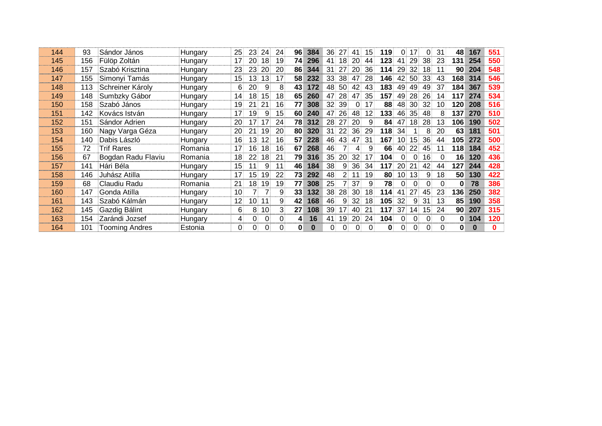| 144 | 93  | Sándor János          | Hungary | <b>25</b>       | <b>23</b>       | 24.             | -24       |                 | 96 384 | 36.             | 27.            | 41              | 15.             | 119      | 0.              | 17.             |          | 31.             | 48.             | 167   | 551 |
|-----|-----|-----------------------|---------|-----------------|-----------------|-----------------|-----------|-----------------|--------|-----------------|----------------|-----------------|-----------------|----------|-----------------|-----------------|----------|-----------------|-----------------|-------|-----|
| 145 | 156 | Fülöp Zoltán          | Hungary | 17 <sup>1</sup> |                 | $20 \t18$       | 19.       | 74.             | -296   | 41.             | 18.            | -201            | 44.             | 123      | 41.             | $29^{\circ}$    | -38      | 23.             | 131             | 254   | 550 |
| 146 | 157 | Szabó Krisztina       | Hungary | 23              | 23              | <b>20</b>       | <b>20</b> | 86              | 344    | 31 <sup>1</sup> | 27.            | 20              | 36              | 114      | <b>29</b>       | 32 <sub>1</sub> | 18       | 11.             | 90 <sub>1</sub> | 204   | 548 |
| 147 | 155 | Simonyi Tamás         | Hungary | 15.             | 13.             | 13 <sup>1</sup> |           | 58              | 232    | 33.             | 38             | 47              | 28              | 146      | 42.             | 50 <sup>°</sup> | -33      | 43              | 168             | 314   | 546 |
| 148 | 113 | Schreiner Károly      | Hungary | 6.              | 20              | -9.             | 8         | 43              | 172    | 48.             | 50             | 42              | 43.             | 183      | 49.             | 49              | 49       | 37              | 184             | 367   | 539 |
| 149 | 148 | Sumbzky Gábor         | Hungary | 14              | 18              | 15 <sub>1</sub> | 18.       | 65              | 260    | 47              | 28.            | 47              | 35 <sub>1</sub> | 157      | 49              | 28              | 26       | 14.             | $117 -$         | 274   | 534 |
| 150 | 158 | Szabó János           | Hungary | 19              | 21 <sup>1</sup> | 21 <sub>1</sub> | 16        | 77              | 308    |                 | 32 39          | $\overline{0}$  | 17 <sup>1</sup> | 88.      | 48              | 30 <sup>1</sup> | -32      | 10:             | 120             | 208   | 516 |
| 151 | 142 | Kovács István         | Hungary | 17 <sup>1</sup> | 19              | 9.              | 15        | 60 <sup>1</sup> | 240    | 47              | 26.            | 48              | 12 <sub>2</sub> | 133      | 46              | 35 <sup>°</sup> | -48      | 8               | 1371            | 270   | 510 |
| 152 | 151 | Sándor Adrien         | Hungary | <b>20</b>       | 17.             | 17 <sup>1</sup> | 24        | 78.             | 312    | 28              | 27             | 20              | 9               | 84.      | 47.             | 18 <sup>1</sup> | -28      | 13              | 1061            | 190   | 502 |
| 153 | 160 | Nagy Varga Géza       | Hungary | <b>20</b>       |                 | 21 19           | <b>20</b> | 80              | 320    |                 | 31 22          | 36 <sup>2</sup> | 29              | 118      | 34              | 1 :             | 8        | 20 <sub>1</sub> | 63.             | 181   | 501 |
| 154 | 140 | Dabis László          | Hungary | 16              | 13 <sup>1</sup> | 12 <sup>2</sup> | 16        | 57              | 228    | 46              | 43.            | 47              | 31.             | 167      | 10 <sup>1</sup> | 15 <sup>1</sup> | 36       | 44              | 105             | 272   | 500 |
| 155 | 72  | <b>Trif Rares</b>     | Romania | 17.             | 16.             | 18              | 16        | 67              | 268    | 46              |                | 4               | 9.              | 66       | 40.             | 22 <sub>1</sub> | 45       |                 | 118             | 184   | 452 |
| 156 | 67  | Bogdan Radu Flaviu    | Romania | 18.             | 22              | 18.             | -21       | 79              | 316    | 35              | <b>20</b>      | 32              |                 | 104      | 0.              | $\Omega$        | 16       | 0               | 16.             | 120   | 436 |
| 157 | 141 | Hári Béla             | Hungary | 15.             | 11              | 9               | 11        |                 | 46 184 | 38.             | 9              | 36              | 34              | 117      | <b>20</b>       | 21 <sup>2</sup> | 42       | 44              | 127             | 244   | 428 |
| 158 | 146 | Juhász Atilla         | Hungary | 17 <sup>°</sup> | 15 <sub>1</sub> | 19              | 22        | 73              | 292    | 48              | 2 <sup>1</sup> | 11              | 19              | 80       | 10 <sup>1</sup> | 13 <sup>1</sup> | 9        | 18              | 50 <sup>°</sup> | 130   | 422 |
| 159 | 68  | Claudiu Radu          | Romania | 21 <sup>2</sup> | 18 <sup>1</sup> | 19              | 19        |                 | 77 308 | 25              |                | 37              | 9               | 78       | $\Omega$        | $\Omega$        |          | 0               | $\mathbf{0}$    | 78    | 386 |
| 160 | 147 | Gonda Atilla          | Hungary | 10 <sup>1</sup> |                 | $\overline{7}$  | 9         | 33 <sup>1</sup> | 132    | 38              | 28             | 30              | 18 <sup>1</sup> | 114      | 41.             | 27              | 45       | 23              | 136             | 250   | 382 |
| 161 | 143 | : Szabó Kálmán        | Hungary | 12 <sup>1</sup> | 10 <sup>1</sup> | 11 <sup>1</sup> | 9.        | 42              | 168    | 46              | 9              | 32              | 18              | 105      | 32.             | 9               | 31       | 13              | 85 <sup>2</sup> | 190   | 358 |
| 162 | 145 | Gazdig Bálint         | Hungary | 6.              | 8.              | 10.             | З.        | 27 <sup>1</sup> | 108    | 39.             | 17:            | 40.             | 21 <sup>1</sup> | 117      | 37              | 14.             | 151      | -24             | 90 <sup>1</sup> | 207   | 315 |
| 163 | 154 | Zarándi Jozsef        | Hungary | 4               | $0^{\circ}$     | $\overline{0}$  | $\Omega$  | 4.              | 16     | 41:             | 19             | 20              | 24              | 104      | $\overline{0}$  | $\Omega$        | $\Omega$ | $\Omega$        |                 | 0.104 | 120 |
| 164 | 101 | <b>Tooming Andres</b> | Estonia | $\Omega$        | $\Omega$        | $\Omega$        |           |                 |        | 0.              |                | O.              | 0               | $\bf{0}$ | $\overline{0}$  | .∪ ·            |          | 0               | $\mathbf{0}$    |       |     |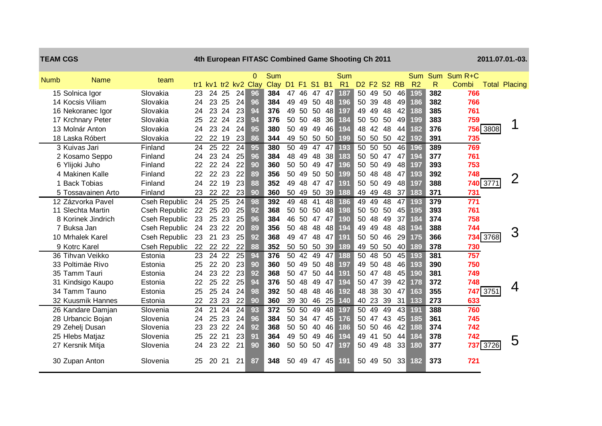| <b>TEAM CGS</b> |                    |               |    |    |          |                 |                                  | 4th European FITASC Combined Game Shooting Ch 2011 |                 |          |             |     |                       |    |       |                                                             |                 |                |              |                          |          | 2011.07.01.-03.      |
|-----------------|--------------------|---------------|----|----|----------|-----------------|----------------------------------|----------------------------------------------------|-----------------|----------|-------------|-----|-----------------------|----|-------|-------------------------------------------------------------|-----------------|----------------|--------------|--------------------------|----------|----------------------|
| <b>Numb</b>     | <b>Name</b>        | team          |    |    |          |                 | $\Omega$<br>tr1 kv1 tr2 kv2 Clay | Sum<br>Clay                                        |                 |          | D1 F1 S1 B1 |     | Sum<br>R <sub>1</sub> |    |       | D <sub>2</sub> F <sub>2</sub> S <sub>2</sub> R <sub>B</sub> |                 | R <sub>2</sub> | $\mathsf{R}$ | Sum Sum Sum R+C<br>Combi |          | <b>Total Placing</b> |
|                 | 15 Solnica Igor    | Slovakia      | 23 | 24 | 25       | 24              | 96                               | 384                                                |                 | 47 46    | 47 47       |     | 187                   |    |       | 50 49 50                                                    | 46              | 195            | 382          | 766                      |          |                      |
|                 | 14 Kocsis Viliam   | Slovakia      | 24 | 23 | 25       | 24              | 96                               | 384                                                | 49              | 49       | 50          | 48  | 196                   | 50 | 39    | 48                                                          | 49              | 186            | 382          | 766                      |          |                      |
|                 | 16 Nekoranec Igor  | Slovakia      | 24 | 23 | 24       | 23              | 94                               | 376                                                | 49              | 50       | 50          | 48  | 197                   | 49 | 49    | 48                                                          | 42              | 188            | 385          | 761                      |          |                      |
|                 | 17 Krchnary Peter  | Slovakia      | 25 | 22 | 24       | 23              | 94                               | 376                                                | 50              | 50       | 48          | 36  | 184                   | 50 | 50    | 50                                                          | 49              | 199            | 383          | 759                      |          |                      |
|                 | 13 Molnár Anton    | Slovakia      | 24 | 23 | 24       | 24              | 95                               | 380                                                | 50              | 49       | 49          | 46  | 194                   | 48 | 42    | 48                                                          | 44              | 182            | 376          |                          | 756 3808 | 1                    |
|                 | 18 Laska Róbert    | Slovakia      | 22 | 22 | 19       | 23              | 86                               | 344                                                | 49              | 50       | 50          | 50  | 199                   |    | 50 50 | 50                                                          | 42              | 192            | 391          | 735                      |          |                      |
|                 | 3 Kuivas Jari      | Finland       | 24 | 25 | 22       | 24              | 95                               | 380                                                | 50              | 49       | 47          | 47  | 193                   | 50 | 50    | 50                                                          | 46              | 196            | 389          | 769                      |          |                      |
|                 | 2 Kosamo Seppo     | Finland       | 24 |    | 23 24    | 25              | 96                               | 384                                                | 48              | 49       | 48          | 38  | 183                   |    | 50 50 | 47                                                          | 47              | 194            | 377          | 761                      |          |                      |
|                 | 6 Ylijoki Juho     | Finland       | 22 |    | 22 24    | 22              | 90                               | 360                                                |                 | 50 50    | 49          | 47  | 196                   |    | 50 50 | 49                                                          | 48              | 197            | 393          | 753                      |          |                      |
|                 | 4 Makinen Kalle    | Finland       | 22 |    | 22 23    | 22              | 89                               | 356                                                |                 | 50 49    | 50 50       |     | 199                   | 50 | 48    | 48                                                          | 47              | 193            | 392          | 748                      |          | 2                    |
|                 | <b>Back Tobias</b> | Finland       | 24 |    | 22 19    | 23              | 88                               | 352                                                | 49              | 48       | 47          | 47  | 191                   | 50 | 50    | 49                                                          | 48              | 197            | 388          |                          | 740 3771 |                      |
|                 | 5 Tossavainen Arto | Finland       | 23 |    | 22 22    | 23              | 90                               | 360                                                | 50              | 49       | 50          | 39  | 188                   |    | 49 49 | 48                                                          | 37              | 183            | 371          | 731                      |          |                      |
|                 | 12 Zázvorka Pavel  | Cseh Republic | 24 | 25 | 25       | 24              | 98                               | 392                                                | 49              | 48       | 41          | 48  | 186                   | 49 | 49    | 48                                                          | 47              | 193            | 379          | 771                      |          |                      |
|                 | 11 Slechta Martin  | Cseh Republic | 22 | 25 | 20       | 25              | 92                               | 368                                                |                 | 50 50 50 |             | 48  | 198                   |    | 50 50 | 50                                                          | 45              | 195            | 393          | 761                      |          |                      |
|                 | 8 Korinek Jindrich | Cseh Republic | 23 | 25 | 23       | 25              | 96                               | 384                                                | 46              | 50 47    |             | 47  | 190                   | 50 | 48    | 49                                                          | 37              | 184            | 374          | 758                      |          |                      |
|                 | 7 Buksa Jan        | Cseh Republic | 24 | 23 | 22       | 20              | 89                               | 356                                                | 50              | 48       | 48          | 48  | 194                   | 49 | 49    | 48                                                          | 48              | 194            | 388          | 744                      |          | 3                    |
|                 | 10 Mrhalek Karel   | Cseh Republic | 23 | 21 | 23       | 25              | 92                               | 368                                                | 49              | 47       | 48          | 47  | 191                   |    | 50 50 | 46                                                          | 29              | 175            | 366          |                          | 734 3768 |                      |
|                 | 9 Kotrc Karel      | Cseh Republic | 22 |    | 22 22    | 22              | 88                               | 352                                                |                 | 50 50 50 |             | -39 | 189                   | 49 | 50    | 50                                                          | 40              | 189            | 378          | 730                      |          |                      |
|                 | 36 Tihvan Veikko   | Estonia       | 23 |    | $24\,22$ | $\overline{25}$ | 94                               | 376                                                | $\overline{50}$ | 42       | 49          | 47  | 188                   | 50 | 48    | $\overline{50}$                                             | $\overline{45}$ | 193            | 381          | 757                      |          |                      |
|                 | 33 Poltimäe Rivo   | Estonia       | 25 |    | 22 20    | 23              | 90                               | 360                                                | 50              | 49       | 50          | 48  | 197                   | 49 | 50    | 48                                                          | 46              | 193            | 390          | 750                      |          |                      |
|                 | 35 Tamm Tauri      | Estonia       | 24 | 23 | 22       | 23              | 92                               | 368                                                | 50              | 47       | 50          | 44  | 191                   | 50 | 47    | 48                                                          | 45              | 190            | 381          | 749                      |          |                      |
|                 | 31 Kindsigo Kaupo  | Estonia       | 22 | 25 | 22       | 25              | 94                               | 376                                                | 50              | 48       | 49          | 47  | 194                   | 50 | 47    | 39                                                          | 42              | 178            | 372          | 748                      |          | 4                    |
|                 | 34 Tamm Tauno      | Estonia       | 25 | 25 | 24       | 24              | 98                               | 392                                                | 50              | 48       | 48          | 46  | 192                   | 48 | 38    | 30                                                          | 47              | 163            | 355          |                          | 747 3751 |                      |
|                 | 32 Kuusmik Hannes  | Estonia       | 22 | 23 | 23       | 22              | 90                               | 360                                                | 39              | 30       | 46          | 25  | 140                   | 40 | 23    | 39                                                          | 31              | 133            | 273          | 633                      |          |                      |
|                 | 26 Kandare Damjan  | Slovenia      | 24 | 21 | 24       | 24              | 93                               | 372                                                | 50              | 50       | 49          | 48  | 197                   | 50 | 49    | 49                                                          | 43              | 191            | 388          | 760                      |          |                      |
|                 | 28 Urbancic Bojan  | Slovenia      | 24 |    | 25 23    | 24              | 96                               | 384                                                |                 | 50 34    | 47          | 45  | 176                   | 50 | 47    | 43                                                          | 45              | 185            | 361          | 745                      |          |                      |
|                 | 29 Zehelj Dusan    | Slovenia      | 23 |    | 23 22    | 24              | 92                               | 368                                                | 50              | 50       | 40          | 46  | 186                   |    | 50 50 | 46                                                          | 42              | 188            | 374          | 742                      |          |                      |
|                 | 25 Hlebs Matjaz    | Slovenia      | 25 |    | 22 21    | 23              | 91                               | 364                                                | 49              | 50       | 49          | 46  | 194                   | 49 | 41    | 50                                                          | 44              | 184            | 378          | 742                      |          | 5                    |
|                 | 27 Kersnik Mitja   | Slovenia      | 24 |    | 23 22    | 21              | 90                               | 360                                                |                 |          | 50 50 50 47 |     | 197                   | 50 | 49    | 48                                                          | 33              | 180            | 377          |                          | 737 3726 |                      |
|                 | 30 Zupan Anton     | Slovenia      | 25 | 20 | 21       | 21              | 87                               | 348                                                | 50              | 49       | 47 45       |     | 191                   | 50 | 49    | 50                                                          | 33              | 182            | 373          | 721                      |          |                      |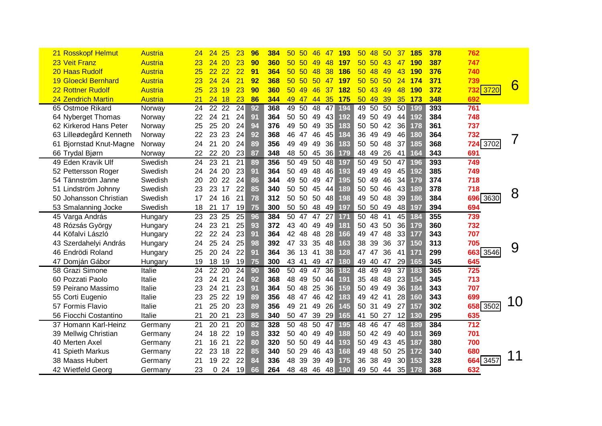| 21 Rosskopf Helmut         | Austria        | 24              | 25<br>24  | 23              | 96 | 384 | 50 50            | 46 | $-47$ | <b>193</b>  | 50 <sup>°</sup> | 48         | 50          | 37              | <b>185</b> | 378 | 762              |                     |
|----------------------------|----------------|-----------------|-----------|-----------------|----|-----|------------------|----|-------|-------------|-----------------|------------|-------------|-----------------|------------|-----|------------------|---------------------|
| 23 Veit Franz              | Austria        | 23              | 24<br>20  | 23              | 90 | 360 | 50 50 49         |    | -48   | <b>197</b>  |                 | 50, 50     | -43         | 47              | <b>190</b> | 387 | 747              |                     |
| 20 Haas Rudolf             | Austria        | 25 <sub>2</sub> | 222       | 22              | 91 | 364 | 50 <sub>50</sub> |    | 48 38 | <u> 186</u> |                 | $50 \t 48$ | -49         | <b>43</b>       | 190        | 376 | 740              |                     |
| <b>19 Gloeckl Bernhard</b> | Austria        | 23              | 24 24     | 21              | 92 | 368 | 50 50 50 47 197  |    |       |             |                 | 50 50 50   |             | 24              | 174        | 371 | 739              | $6\overline{6}$     |
| 22 Rottner Rudolf          | Austria        | 25              | $23$ 19   | 23              | 90 | 360 | 50 49            |    | 46 37 | <b>182</b>  |                 | 50 43 49   |             | <b>48</b>       | 190        | 372 | <b>732 3720</b>  |                     |
| 24 Zendrich Martin         | <b>Austria</b> | 21              | 2418      | 23              | 86 | 344 | 49 47 44 35 175  |    |       |             |                 | 50 49 39   |             | 35              | 173        | 348 | 692              |                     |
| 65 Ostmoe Rikard           | Norway         |                 | 24 22 22  | 24              | 92 | 368 | 49 50 48 47 194  |    |       |             |                 | 49 50 50   |             | -50             | 199        | 393 | 761              |                     |
| 64 Nyberget Thomas         | Norway         | 22              | 24 21     | 24              | 91 | 364 | 50 50 49 43 192  |    |       |             |                 | 49 50 49   |             | 44              | 192        | 384 | 748              |                     |
| 62 Kirkerod Hans Peter     | Norway         | 25              | 25 20     | 24              | 94 | 376 | 49 50 49 35      |    |       | 183         |                 | 50 50 42   |             | 36              | 178        | 361 | 737              |                     |
| 63 Lilleødegård Kenneth    | Norway         |                 | 22 23 23  | 24              | 92 | 368 | 46 47 46 45      |    |       | 184         |                 | 36 49 49   |             | 46              | 180        | 364 | 732              | $\overline{\prime}$ |
| 61 Bjornstad Knut-Magne    | Norway         | 24 21           | 20        | 24              | 89 | 356 | 49 49 49 36      |    |       | 183         |                 | 50 50 48   |             | 37              | 185        | 368 | 724 3702         |                     |
| 66 Trydal Bjørn            | Norway         |                 | 22 22 20  | 23              | 87 | 348 | 48 50 45 36 179  |    |       |             |                 | 48 49 26   |             | 41              | 164        | 343 | 691              |                     |
| 49 Eden Kravik Ulf         | Swedish        |                 | 24 23 21  | 21              | 89 | 356 | 50 49 50 48 197  |    |       |             |                 | 50 49 50   |             | 47 196          |            | 393 | 749              |                     |
| 52 Pettersson Roger        | Swedish        |                 | 24 24 20  | 23              | 91 | 364 | 50 49 48 46 193  |    |       |             |                 | 49 49 49   |             | 45              | 192        | 385 | 749              |                     |
| 54 Tännström Janne         | Swedish        | 20              | 20 22     | 24              | 86 | 344 | 49 50 49 47 195  |    |       |             |                 | 50 49 46   |             | 34              | 179        | 374 | 718              |                     |
| 51 Lindström Johnny        | Swedish        | 23              | 23 17     | 22              | 85 | 340 | 50 50 45 44      |    |       | 189         |                 | 50 50 46   |             | 43              | 189        | 378 | 718              | 8                   |
| 50 Johansson Christian     | Swedish        |                 | 17 24 16  | 21              | 78 | 312 | 50 50 50 48 198  |    |       |             |                 | 49 50 48   |             | 39              | 186        | 384 | 696 3630         |                     |
| 53 Smalanning Jocke        | Swedish        |                 | 18 21 17  | 19              | 75 | 300 | 50 50 48 49 197  |    |       |             |                 | 50 50 49   |             | 48              | 197        | 394 | 694              |                     |
| 45 Varga András            | Hungary        | 23              | 23 25     | $\overline{25}$ | 96 | 384 | 50 47 47 27 171  |    |       |             |                 | 50 48 41   |             | 45              | 184        | 355 | 739              |                     |
| 48 Rózsás György           | Hungary        |                 | 24 23 21  | 25              | 93 | 372 | 43 40 49 49 181  |    |       |             |                 | 50 43 50   |             | 36              | 179        | 360 | 732              |                     |
| 44 Köfalvi László          | Hungary        |                 | 22 22 24  | 23              | 91 | 364 | 42 48 48 28 166  |    |       |             |                 | 49 47 48   |             | 33              | 177        | 343 | 707              |                     |
| 43 Szerdahelyi András      | Hungary        | 24              | 25 24     | 25              | 98 | 392 | 47 33 35 48 163  |    |       |             |                 | 38 39 36   |             | 37              | 150        | 313 | 705              | 9                   |
| 46 Endrödi Roland          | Hungary        | 25              | 20 24     | 22              | 91 | 364 | 36 13 41 38 128  |    |       |             |                 | 47 47 36   |             | 41              | 171        | 299 | 663 3546         |                     |
| 47 Domján Gábor            | Hungary        | 19              | 18 19 19  |                 | 75 | 300 | 43 41 49 47 180  |    |       |             |                 | 49 40 47   |             | 29              | 165        | 345 | 645              |                     |
| 58 Grazi Simone            | Italie         | 24              | $22\,20$  | $\overline{24}$ | 90 | 360 | 50 49 47 36 182  |    |       |             |                 | 48 49      | 49          | 37 183          |            | 365 | 725              |                     |
| 60 Pozzati Paolo           | Italie         | 23              | 24 21     | 24              | 92 | 368 | 48 49 50 44 191  |    |       |             |                 | 35 48 48   |             | 23              | 154        | 345 | 713              |                     |
| 59 Peirano Massimo         | Italie         | 23              | 24 21     | 23              | 91 | 364 | 50 48 25 36 159  |    |       |             |                 | 50 49 49   |             | 36              | 184        | 343 | 707              |                     |
| 55 Corti Eugenio           | Italie         | 23              | 25 22     | 19              | 89 | 356 | 48 47 46 42 183  |    |       |             |                 | 49 42 41   |             | 28              | 160        | 343 | 699              | 10                  |
| 57 Formis Flavio           | Italie         | 21              | 25 20     | 23              | 89 | 356 | 49 21 49 26 145  |    |       |             |                 | 50 31 49   |             | 27              | 157        | 302 | 658 3502         |                     |
| 56 Fiocchi Costantino      | Italie         | 21              | 20 21     | 23              | 85 | 340 | 50 47 39 29 165  |    |       |             |                 | 41 50 27   |             | 12              | 130        | 295 | 635              |                     |
| 37 Homann Karl-Heinz       | Germany        | 21              | 20 21     | $\overline{20}$ | 82 | 328 | 50 48 50 47 195  |    |       |             |                 | 48 46 47   |             | 48 189          |            | 384 | $\overline{712}$ |                     |
| 39 Mellwig Christian       | Germany        |                 | 24 18 22  | 19              | 83 | 332 | 50 40 49 49 188  |    |       |             |                 | 50 42 49   |             | 40              | 181        | 369 | 701              |                     |
| 40 Merten Axel             | Germany        | 21              | 16 21     | 22              | 80 | 320 | 50 50 49 44 193  |    |       |             |                 | 50 49 43   |             | 45              | 187        | 380 | 700              |                     |
| 41 Spieth Markus           | Germany        | 22              | 23 18     | 22              | 85 | 340 | 50 29 46 43 168  |    |       |             |                 | 49 48 50   |             | 25              | 172        | 340 | 680              | 11                  |
| 38 Maass Hubert            | Germany        | 21              | 19 22     | 22              | 84 | 336 | 48 39 39         |    |       | 49 175      |                 | 36 38 49   |             | 30 <sup>2</sup> | 153        | 328 | 664 3457         |                     |
| 42 Wietfeld Georg          | Germany        | 23              | 0, 24, 19 |                 | 66 | 264 | 48 48 46 48 190  |    |       |             |                 |            | 49 50 44 35 |                 | 178        | 368 | 632              |                     |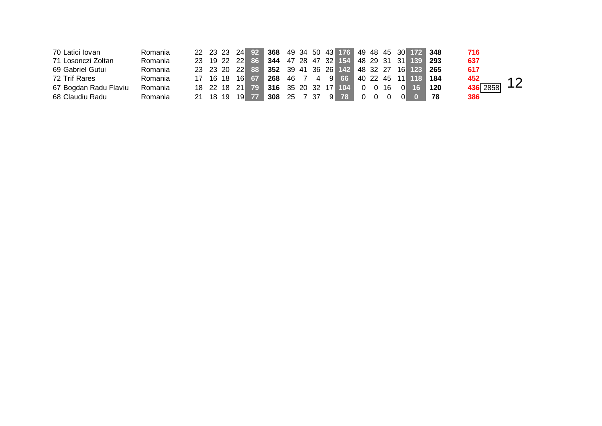| 70 Latici Iovan       | Romania |  | 22 23 23 24 92 368 49 34 50 43 176 49 48 45 30 172 348 |  |  |  |  |  |  | 716      |    |
|-----------------------|---------|--|--------------------------------------------------------|--|--|--|--|--|--|----------|----|
| 71 Losonczi Zoltan    | Romania |  | 23 19 22 22 86 344 47 28 47 32 154 48 29 31 31 139 293 |  |  |  |  |  |  | 637      |    |
| 69 Gabriel Gutui      | Romania |  | 23 23 20 22 88 352 39 41 36 26 142 48 32 27 16 123 265 |  |  |  |  |  |  | 617      |    |
| 72 Trif Rares         | Romania |  | 17 16 18 16 67 268 46 7 4 9 66 40 22 45 11 118 184     |  |  |  |  |  |  | 452      | 12 |
| 67 Bogdan Radu Flaviu | Romania |  | 18 22 18 21 79 316 35 20 32 17 104 0 0 16 0 16 120     |  |  |  |  |  |  | 436 2858 |    |
| 68 Claudiu Radu       | Romania |  | 21 18 19 19 77 308 25 7 37 9 78 0 0 0 0 0 78           |  |  |  |  |  |  | 386      |    |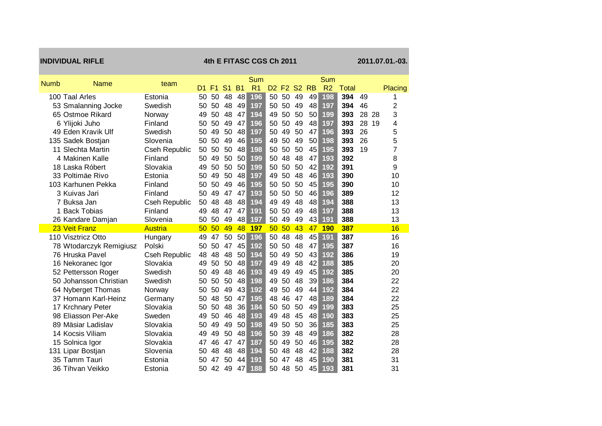|             | <b>INDIVIDUAL RIFLE</b>             |                          |          |                |                |           | 4th E FITASC CGS Ch 2011 |                |                |           |           |                |              |    |    | 2011.07.01.-03. |
|-------------|-------------------------------------|--------------------------|----------|----------------|----------------|-----------|--------------------------|----------------|----------------|-----------|-----------|----------------|--------------|----|----|-----------------|
| <b>Numb</b> | <b>Name</b>                         | team                     |          |                |                |           | Sum                      |                |                |           |           | Sum            |              |    |    |                 |
|             |                                     |                          | D1.      | F <sub>1</sub> | S <sub>1</sub> | <b>B1</b> | R <sub>1</sub>           | D <sub>2</sub> | F <sub>2</sub> | <b>S2</b> | <b>RB</b> | R <sub>2</sub> | <b>Total</b> |    |    | Placing         |
|             | 100 Taal Arles                      | Estonia                  | 50       | 50             | 48             | 48        | 196                      | 50             | 50             | 49        | 49        | 198            | 394          | 49 |    | 1               |
|             | 53 Smalanning Jocke                 | Swedish                  | 50       | 50             | 48             | 49        | 197                      | 50             | 50             | 49        | 48        | 197            | 394          | 46 |    | $\overline{2}$  |
|             | 65 Ostmoe Rikard                    | Norway                   | 49       | 50             | 48             | 47        | 194                      | 49             | 50             | 50        | 50        | 199            | 393          | 28 | 28 | 3               |
|             | 6 Ylijoki Juho                      | Finland                  | 50       | 50             | 49             | 47        | 196                      | 50             | 50             | 49        | 48        | 197            | 393          | 28 | 19 | 4               |
|             | 49 Eden Kravik Ulf                  | Swedish                  | 50       | 49             | 50             | 48        | 197                      | 50             | 49             | 50        | 47        | 196            | 393          | 26 |    | 5               |
|             | 135 Sadek Bostjan                   | Slovenia                 | 50       | 50             | 49             | 46        | 195                      | 49             | 50             | 49        | 50        | 198            | 393          | 26 |    | 5               |
|             | 11 Slechta Martin                   | Cseh Republic            | 50       | 50             | 50             | 48        | 198                      | 50             | 50             | 50<br>48  | 45        | 195            | 393          | 19 |    | 7               |
|             | 4 Makinen Kalle                     | Finland                  | 50       | 49             | 50             | 50        | 199                      | 50             | 48             | 50        | 47<br>42  | 193            | 392<br>391   |    |    | 8               |
|             | 18 Laska Róbert<br>33 Poltimäe Rivo | Slovakia                 | 49       | 50<br>49       | 50<br>50       | 50<br>48  | 199<br>197               | 50<br>49       | 50             | 48        | 46        | 192<br>193     | 390          |    |    | 9               |
|             | 103 Karhunen Pekka                  | Estonia<br>Finland       | 50<br>50 | 50             | 49             | 46        | 195                      | 50             | 50<br>50       | 50        | 45        | 195            | 390          |    |    | 10<br>10        |
|             | 3 Kuivas Jari                       | Finland                  | 50       | 49             | 47             | 47        | 193                      | 50             | 50             | 50        | 46        | 196            | 389          |    |    | 12              |
|             | 7 Buksa Jan                         |                          | 50       | 48             | 48             | 48        | 194                      | 49             | 49             | 48        | 48        | 194            | 388          |    |    | 13              |
|             | 1 Back Tobias                       | Cseh Republic<br>Finland | 49       | 48             | 47             | 47        | 191                      | 50             | 50             | 49        | 48        | 197            | 388          |    |    | 13              |
|             | 26 Kandare Damjan                   | Slovenia                 | 50       | 50             | 49             | 48        | 197                      | 50             | 49             | 49        | 43        | 191            | 388          |    |    | 13              |
|             | 23 Veit Franz                       | <b>Austria</b>           | 50       | 50             | 49             | 48        | 197                      | 50             | 50             | 43        | 47        | <b>190</b>     | 387          |    |    | 16              |
|             | 110 Visztricz Otto                  | Hungary                  | 49       | 47             | 50             | 50        | 196                      | 50             | 48             | 48        | 45        | 191            | 387          |    |    | 16              |
|             | 78 Wtodarczyk Remigiusz             | Polski                   | 50       | 50             | 47             | 45        | 192                      | 50             | 50             | 48        | 47        | 195            | 387          |    |    | 16              |
|             | 76 Hruska Pavel                     | Cseh Republic            | 48       | 48             | 48             | 50        | 194                      | 50             | 49             | 50        | 43        | 192            | 386          |    |    | 19              |
|             | 16 Nekoranec Igor                   | Slovakia                 | 49       | 50             | 50             | 48        | 197                      | 49             | 49             | 48        | 42        | 188            | 385          |    |    | 20              |
|             | 52 Pettersson Roger                 | Swedish                  | 50       | 49             | 48             | 46        | 193                      | 49             | 49             | 49        | 45        | 192            | 385          |    |    | 20              |
|             | 50 Johansson Christian              | Swedish                  | 50       | 50             | 50             | 48        | 198                      | 49             | 50             | 48        | 39        | 186            | 384          |    |    | 22              |
|             | 64 Nyberget Thomas                  | Norway                   | 50       | 50             | 49             | 43        | 192                      | 49             | 50             | 49        | 44        | 192            | 384          |    |    | 22              |
|             | 37 Homann Karl-Heinz                | Germany                  | 50       | 48             | 50             | 47        | 195                      | 48             | 46             | 47        | 48        | 189            | 384          |    |    | 22              |
|             | 17 Krchnary Peter                   | Slovakia                 | 50       | 50             | 48             | 36        | 184                      | 50             | 50             | 50        | 49        | 199            | 383          |    |    | 25              |
|             | 98 Eliasson Per-Ake                 | Sweden                   | 49       | 50             | 46             | 48        | 193                      | 49             | 48             | 45        | 48        | 190            | 383          |    |    | 25              |
|             | 89 Mäsiar Ladislav                  | Slovakia                 | 50       | 49             | 49             | 50        | 198                      | 49             | 50             | 50        | 36        | 185            | 383          |    |    | 25              |
|             | 14 Kocsis Viliam                    | Slovakia                 | 49       | 49             | 50             | 48        | 196                      | 50             | 39             | 48        | 49        | 186            | 382          |    |    | 28              |
|             | 15 Solnica Igor                     | Slovakia                 | 47       | 46             | 47             | 47        | 187                      | 50             | 49             | 50        | 46        | 195            | 382          |    |    | 28              |
|             | 131 Lipar Bostjan                   | Slovenia                 | 50       | 48             | 48             | 48        | 194                      | 50             | 48             | 48        | 42        | 188            | 382          |    |    | 28              |
|             | 35 Tamm Tauri                       | Estonia                  | 50       | 47             | 50             | 44        | 191                      | 50             | 47             | 48        | 45        | 190            | 381          |    |    | 31              |
|             | 36 Tihvan Veikko                    | Estonia                  | 50       | 42             | 49             | 47        | 188                      | 50             | 48             | 50        | 45        | 193            | 381          |    |    | 31              |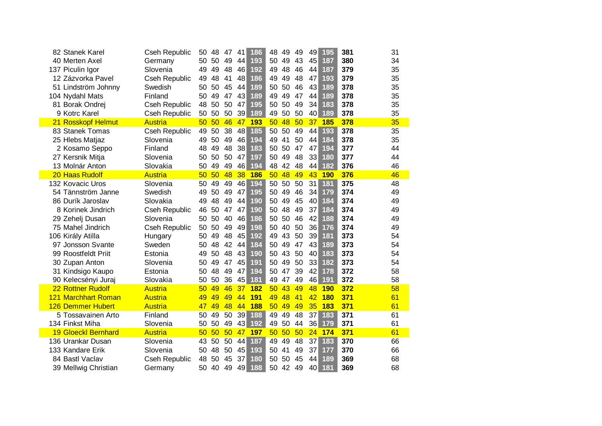| 82 Stanek Karel            | <b>Cseh Republic</b> |                 | 50 48 47 41    |     | 186             | 48 | 49    | 49       | 49  | 195             | 381 | 31 |
|----------------------------|----------------------|-----------------|----------------|-----|-----------------|----|-------|----------|-----|-----------------|-----|----|
| 40 Merten Axel             | Germany              |                 | 50 50 49 44    |     | 193             |    | 50 49 | 43       | 45  | 187             | 380 | 34 |
| 137 Piculin Igor           | Slovenia             |                 | 49 49 48 46    |     | 192             |    | 49 48 | 46       | 44  | 187             | 379 | 35 |
| 12 Zázvorka Pavel          | <b>Cseh Republic</b> | 49              | 48 41          | 48  | 186             |    | 49 49 | 48       | 47  | 193             | 379 | 35 |
| 51 Lindström Johnny        | Swedish              |                 | 50 50 45 44    |     | 189             |    | 50 50 | 46       | -43 | 189             | 378 | 35 |
| 104 Nydahl Mats            | Finland              | 50              | 49 47 43       |     | 189             |    | 49 49 | 47       | -44 | 189             | 378 | 35 |
| 81 Borak Ondrej            | <b>Cseh Republic</b> |                 | 48 50 50 47    |     | 195             |    | 50 50 | 49       | 34  | 183             | 378 | 35 |
| 9 Kotrc Karel              | Cseh Republic        |                 | 50 50 50 39    |     | 189             |    | 49 50 | 50       | 40  | 189             | 378 | 35 |
| 21 Rosskopf Helmut         | <b>Austria</b>       |                 |                |     | 50 50 46 47 193 |    |       |          |     | 50 48 50 37 185 | 378 | 35 |
| 83 Stanek Tomas            | <b>Cseh Republic</b> |                 | 49 50 38 48    |     | 185             |    | 50 50 | 49       | 44  | 193             | 378 | 35 |
| 25 Hlebs Matjaz            | Slovenia             |                 | 49 50 49       | -46 | 194             |    | 49 41 | 50       | -44 | 184             | 378 | 35 |
| 2 Kosamo Seppo             | Finland              | 48              | 49 48 38       |     | 183             |    |       | 50 50 47 | 47  | 194             | 377 | 44 |
| 27 Kersnik Mitja           | Slovenia             |                 | 50 50 50 47    |     | 197             |    | 50 49 | 48       | 33  | 180             | 377 | 44 |
| 13 Molnár Anton            | Slovakia             |                 | 50 49 49 46    |     | 194             |    |       | 48 42 48 | 44  | 182             | 376 | 46 |
| 20 Haas Rudolf             | <b>Austria</b>       |                 |                |     | 50 50 48 38 186 |    | 50 48 | 49       |     | 43 190          | 376 | 46 |
| 132 Kovacic Uros           | Slovenia             | 50              | 49<br>49       | 46  | 194             |    |       | 50 50 50 | 31  | 181             | 375 | 48 |
| 54 Tännström Janne         | Swedish              |                 | 49 50 49 47    |     | 195             |    | 50 49 | 46       | 34  | 179             | 374 | 49 |
| 86 Durík Jaroslav          | Slovakia             |                 | 49 48 49 44    |     | 190             |    | 50 49 | 45       | 40  | 184             | 374 | 49 |
| 8 Korinek Jindrich         | Cseh Republic        |                 | 46 50 47 47    |     | 190             |    | 50 48 | 49       | 37  | 184             | 374 | 49 |
| 29 Zehelj Dusan            | Slovenia             |                 | 50 50 40 46    |     | 186             |    |       | 50 50 46 | 42  | 188             | 374 | 49 |
| 75 Mahel Jindrich          | Cseh Republic        |                 | 50 50 49 49    |     | 198             |    |       | 50 40 50 | 36  | 176             | 374 | 49 |
| 106 Király Atilla          | Hungary              |                 | 50 49 48 45    |     | 192             |    |       | 49 43 50 | 39  | 181             | 373 | 54 |
| 97 Jonsson Svante          | Sweden               | 50              | 48 42 44       |     | 184             |    |       | 50 49 47 | 43  | 189             | 373 | 54 |
| 99 Roostfeldt Priit        | Estonia              | 49              | $50 \t48 \t43$ |     | <b>190</b>      |    |       | 50 43 50 | 40  | 183             | 373 | 54 |
| 30 Zupan Anton             | Slovenia             | 50              | 49 47 45       |     | 191             |    |       | 50 49 50 | 33  | 182             | 373 | 54 |
| 31 Kindsigo Kaupo          | Estonia              | 50              | 48 49          | 47  | 194             |    | 50 47 | 39       | 42  | 178             | 372 | 58 |
| 90 Kelecsényi Juraj        | Slovakia             | 50              | 50 36          | 45  | 181             |    | 49 47 | 49       |     | 46 191          | 372 | 58 |
| 22 Rottner Rudolf          | Austria              | 50 <sub>2</sub> | 49             | 46  | 37 182          |    | 50 43 | 49       |     | 48 190          | 372 | 58 |
| 121 Marchhart Roman        | Austria              | 49              | 49             | 49  | 44 191          | 49 | 48    | $-41$    |     | 42 180          | 371 | 61 |
| <b>126 Demmer Hubert</b>   | Austria              |                 |                |     | 47 49 48 44 188 |    |       | 50 49 49 |     | 35 183          | 371 | 61 |
| 5 Tossavainen Arto         | Finland              | 50              |                |     | 49 50 39 188    |    | 49 49 | 48       |     | 37 183          | 371 | 61 |
| 134 Finkst Miha            | Slovenia             |                 |                |     | 50 50 49 43 192 |    |       | 49 50 44 |     | 36 179          | 371 | 61 |
| <b>19 Gloeckl Bernhard</b> | Austria              |                 |                |     | 50 50 50 47 197 |    |       |          |     | 50 50 50 24 174 | 371 | 61 |
| 136 Urankar Dusan          | Slovenia             |                 |                |     | 43 50 50 44 187 |    | 49 49 | 48       |     | 37 183          | 370 | 66 |
| 133 Kandare Erik           | Slovenia             | 50              | 48 50 45       |     | 193             |    | 50 41 | 49       | 37  | 177             | 370 | 66 |
| 84 Bastl Vaclav            | Cseh Republic        | 48              | 50 45 37       |     | 180             |    |       | 50 50 45 |     | 44 189          | 369 | 68 |
| 39 Mellwig Christian       | Germany              |                 | 50 40 49       | -49 | 188             |    |       | 50 42 49 | 40  | 181             | 369 | 68 |
|                            |                      |                 |                |     |                 |    |       |          |     |                 |     |    |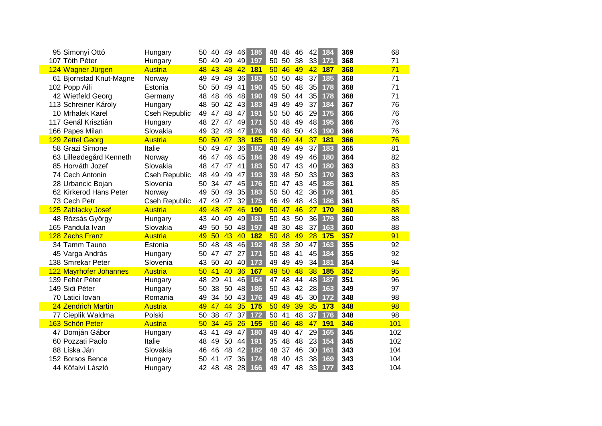| 95 Simonyi Ottó                      | Hungary              | 50       | 40       | 49       | 46       | 185               | 48       | 48       | 46       | 42              | 184        | 369        | 68       |
|--------------------------------------|----------------------|----------|----------|----------|----------|-------------------|----------|----------|----------|-----------------|------------|------------|----------|
| 107 Tóth Péter                       | Hungary              | 50       | 49       | 49       |          | 49 197            | 50       | 50       | 38       |                 | 33 171     | 368        | 71       |
| 124 Wagner Jürgen                    | <b>Austria</b>       | 48       | 43       | 48       | 42       | <b>181</b>        | 50       | 46       | 49       | 42              | 187        | 368        | 71       |
| 61 Bjornstad Knut-Magne              | Norway               | 49       | 49       | 49       | 36       | 183               | 50       | 50       | 48       | 37              | 185        | 368        | 71       |
| 102 Popp Aili                        | Estonia              | 50       | 50       | 49       | 41       | 190               | 45       | 50       | 48       | 35              | 178        | 368        | 71       |
| 42 Wietfeld Georg                    | Germany              | 48       | 48       | 46       | 48       | 190               | 49       | 50       | 44       | 35              | 178        | 368        | 71       |
| 113 Schreiner Károly                 | Hungary              | 48       | 50       | 42       | 43       | 183               | 49       | 49       | 49       | 37              | 184        | 367        | 76       |
| 10 Mrhalek Karel                     | <b>Cseh Republic</b> | 49       | 47       | 48       | 47       | 191               | 50       | 50       | 46       | 29              | 175        | 366        | 76       |
| 117 Genál Krisztián                  | Hungary              | 48       | 27       | 47       | 49       | 171               | 50       | 48       | 49       | 48              | 195        | 366        | 76       |
| 166 Papes Milan                      | Slovakia             | 49       | 32       | 48       | 47       | 176               | 49       | 48       | 50       | 43              | 190        | 366        | 76       |
| 129 Zettel Georg                     | <b>Austria</b>       | 50       | 50       | 47       | 38       | <b>185</b>        | 50       | 50       | 44       | 37              | <b>181</b> | 366        | 76       |
| 58 Grazi Simone                      | Italie               | 50       | 49       | 47       | 36       | 182               | 48       | 49       | 49       | 37              | 183        | 365        | 81       |
| 63 Lilleødegård Kenneth              | Norway               | 46       | 47       | 46       | 45       | 184               | 36       | 49       | 49       | 46              | 180        | 364        | 82       |
| 85 Horváth Jozef                     | Slovakia             | 48       | 47       | 47       | 41       | 183               | 50       | 47       | 43       | 40              | 180        | 363        | 83       |
| 74 Cech Antonin                      | Cseh Republic        | 48       | 49       | 49       | 47       | 193               | 39       | 48       | 50       | 33              | 170        | 363        | 83       |
| 28 Urbancic Bojan                    | Slovenia             | 50       | 34       | 47       | 45       | 176               | 50       | 47       | 43       | 45              | 185        | 361        | 85       |
| 62 Kirkerod Hans Peter               | Norway               | 49       | 50       | 49       | 35       | 183               | 50       | 50       | 42       | 36              | 178        | 361        | 85       |
| 73 Cech Petr                         | Cseh Republic        | 47       | 49       | 47       | 32       | 175               | 46       | 49       | 48       | 43              | 186        | 361        | 85       |
| 125 Zablacky Josef                   | <b>Austria</b>       | 49       | 48       | 47       | 46       | <b>190</b>        | 50       | 47       | 46       | 27 <sup>2</sup> | <b>170</b> | 360        | 88       |
| 48 Rózsás György                     | Hungary              | 43       | 40       | 49       | 49       | 181               | 50       | 43       | 50       | 36              | 179        | 360        | 88       |
| 165 Pandula Ivan<br>128 Zachs Franz  | Slovakia<br>Austria  | 49       | 50<br>50 | 50<br>43 | 48<br>40 | 197<br><b>182</b> | 48<br>50 | 30<br>48 | 48<br>49 | 37<br>28        | 163<br>175 | 360<br>357 | 88<br>91 |
| 34 Tamm Tauno                        | Estonia              | 49       | 48       | 48       | 46       | 192               | 48       | 38       | 30       | 47              | 163        | 355        | 92       |
|                                      |                      | 50       | 47       | 47       | 27       | 171               | 50       | 48       | 41       | 45              | 184        | 355        | 92       |
| 45 Varga András<br>138 Smrekar Peter | Hungary<br>Slovenia  | 50<br>43 | 50       | 40       | 40       | 173               | 49       | 49       | 49       | 34              | 181        | 354        | 94       |
| 122 Mayrhofer Johannes               | <b>Austria</b>       | 50       | 41       | 40       | 36       | <b>167</b>        | 49       | 50       | 48       | 38              | <b>185</b> | 352        | 95       |
| 139 Fehér Péter                      | Hungary              | 48       | 29       | 41       | 46       | 164               | 47       | 48       | 44       | 48              | 187        | 351        | 96       |
| 149 Sidi Péter                       | Hungary              | 50       | 38       | 50       | 48       | 186               | 50       | 43       | 42       | 28              | 163        | 349        | 97       |
| 70 Latici Iovan                      | Romania              | 49       | 34       | 50       | 43       | 176               | 49       | 48       | 45       | 30 <sup>2</sup> | 172        | 348        | 98       |
| 24 Zendrich Martin                   | <b>Austria</b>       | 49       | 47       | 44       | 35       | 175               | 50       | 49       | 39       | 35 <sup>2</sup> | 173        | 348        | 98       |
| 77 Cieplik Waldma                    | Polski               | 50       | 38       | 47       | 37       | 172               | 50       | 41       | 48       | 37              | 176        | 348        | 98       |
| 163 Schön Peter                      | <b>Austria</b>       | 50       | 34       | 45       | 26       | 155               | 50       | 46       | 48       | 47              | <b>191</b> | 346        | 101      |
| 47 Domján Gábor                      | Hungary              | 43       | 41       | 49       | 47       | 180               | 49       | 40       | 47       | 29              | 165        | 345        | 102      |
| 60 Pozzati Paolo                     | Italie               | 48       | 49       | 50       | 44       | 191               | 35       | 48       | 48       | 23              | 154        | 345        | 102      |
| 88 Líska Ján                         | Slovakia             | 46       | 46       | 48       | 42       | 182               | 48       | 37       | 46       | 30              | 161        | 343        | 104      |
| 152 Borsos Bence                     | Hungary              | 50       | 41       | 47       | 36       | 174               | 48       | 40       | 43       | 38              | 169        | 343        | 104      |
| 44 Köfalvi László                    | Hungary              | 42       | 48       | 48       | 28       | 166               | 49       | 47       | 48       | 33              | 177        | 343        | 104      |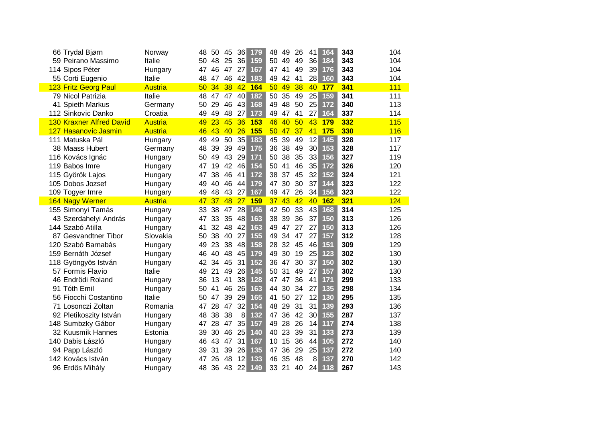| 66 Trydal Bjørn                 | Norway         | 48    | 45<br>50    | 36                    | 179        | 48    | 49       | 26       | 41              | 164    | 343 | 104        |
|---------------------------------|----------------|-------|-------------|-----------------------|------------|-------|----------|----------|-----------------|--------|-----|------------|
| 59 Peirano Massimo              | Italie         | 50 48 | 25          | 36                    | 159        | 50 49 |          | 49       | 36              | 184    | 343 | 104        |
| 114 Sipos Péter                 | Hungary        | 47 46 |             | 47<br>27              | 167        |       | 47 41    | 49       | 39 <sub>1</sub> | 176    | 343 | 104        |
| 55 Corti Eugenio                | Italie         | 48 47 | 46          | 42                    | 183        | 49 42 |          | 41       |                 | 28 160 | 343 | 104        |
| 123 Fritz Georg Paul            | <b>Austria</b> | 50 34 |             | 38 <sup>°</sup><br>42 | <b>164</b> | 50 49 |          | 38       |                 | 40 177 | 341 | 111        |
| 79 Nicol Patrizia               | Italie         |       | 48 47 47 40 |                       | 182        | 50 35 |          | 49       | 25              | 159    | 341 | 111        |
| 41 Spieth Markus                | Germany        | 50    | 29<br>46    | 43                    | 168        | 49 48 |          | 50       | 25              | 172    | 340 | 113        |
| 112 Sinkovic Danko              | Croatia        | 49 49 |             | 48<br>27              | 173        | 49 47 |          | 41       |                 | 27 164 | 337 | 114        |
| <b>130 Kraxner Alfred David</b> | <b>Austria</b> | 49 23 |             | 45 36                 | <b>153</b> | 46 40 |          | 50       |                 | 43 179 | 332 | <b>115</b> |
| 127 Hasanovic Jasmin            | Austria        | 46 43 |             | 40<br>26              | 155        |       | 50 47 37 |          |                 | 41 175 | 330 | 116        |
| 111 Matuska Pál                 | Hungary        | 49    | 49          | 50<br>35              | 183        | 45 39 |          | 49       |                 | 12 145 | 328 | 117        |
| 38 Maass Hubert                 | Germany        | 48    | 39<br>39    | 49                    | 175        | 36 38 |          | 49       | 30 <sup>1</sup> | 153    | 328 | 117        |
| 116 Kovács Ignác                | Hungary        | 50    | 49          | 43<br>29              | 171        | 50 38 |          | 35       | 33              | 156    | 327 | 119        |
| 119 Babos Imre                  | Hungary        | 47    | 19          | 42<br>-46             | 154        | 50 41 |          | 46       | 35              | 172    | 326 | 120        |
| 115 Györök Lajos                | Hungary        | 47    | 46<br>38    | 41                    | 172        |       | 38 37 45 |          | 32              | 152    | 324 | 121        |
| 105 Dobos Jozsef                | Hungary        | 49    | 46<br>40    | 44                    | 179        | 47 30 |          | 30       | 37              | 144    | 323 | 122        |
| 109 Togyer Imre                 | Hungary        | 49 48 |             | 43<br>27              | 167        | 49 47 |          | 26       |                 | 34 156 | 323 | 122        |
| 164 Nagy Werner                 | <b>Austria</b> | 47 37 |             | 48 27                 | <b>159</b> |       |          | 37 43 42 |                 | 40 162 | 321 | 124        |
| 155 Simonyi Tamás               | Hungary        | 33 38 |             | 47 28                 | 146        |       |          | 42 50 33 |                 | 43 168 | 314 | 125        |
| 43 Szerdahelyi András           | Hungary        | 47 33 |             | 35 48                 | 163        | 38 39 |          | 36       | 37 <sup>1</sup> | 150    | 313 | 126        |
| 144 Szabó Atilla                | Hungary        | 41    | 32          | 48 42                 | 163        |       |          | 49 47 27 | 27              | 150    | 313 | 126        |
| 87 Gesvandtner Tibor            | Slovakia       | 50    | 38          | 40<br>27              | 155        |       |          | 49 34 47 | 27              | 157    | 312 | 128        |
| 120 Szabó Barnabás              | Hungary        | 49    | 23          | 38<br>48              | 158        |       | 28 32 45 |          | 46              | 151    | 309 | 129        |
| 159 Bernáth József              | Hungary        | 46    | 40<br>48    | -45                   | 179        | 49 30 |          | 19       | 25              | 123    | 302 | 130        |
| 118 Gyöngyös István             | Hungary        | 42 34 |             | 45<br>31              | 152        | 36 47 |          | 30       | 37              | 150    | 302 | 130        |
| 57 Formis Flavio                | Italie         | 49    | 21          | 49<br>26              | 145        | 50 31 |          | 49       | 27              | 157    | 302 | 130        |
| 46 Endrödi Roland               | Hungary        | 36    | 13<br>41    | 38                    | 128        | 47 47 |          | 36       | 41              | 171    | 299 | 133        |
| 91 Tóth Emil                    | Hungary        | 50 41 | 46          | 26                    | 163        | 44 30 |          | 34       | 27              | 135    | 298 | 134        |
| 56 Fiocchi Costantino           | Italie         | 50    | 47<br>39    | 29                    | 165        | 41 50 |          | 27       | 12              | 130    | 295 | 135        |
| 71 Losonczi Zoltan              | Romania        | 47 28 |             | 47<br>32              | 154        | 48 29 |          | 31       | 31              | 139    | 293 | 136        |
| 92 Pletikoszity István          | Hungary        | 48    | 38<br>38    | 8                     | 132        | 47 36 |          | 42       | 30 <sup>1</sup> | 155    | 287 | 137        |
| 148 Sumbzky Gábor               | Hungary        | 47 28 |             | 47<br>35              | 157        | 49 28 |          | 26       | 14              | 117    | 274 | 138        |
| 32 Kuusmik Hannes               | Estonia        | 39    | 46<br>30    | 25                    | 140        | 40 23 |          | 39       | 31              | 133    | 273 | 139        |
| 140 Dabis László                | Hungary        | 46 43 |             | 47<br>31              | 167        | 10 15 |          | 36       | 44              | 105    | 272 | 140        |
| 94 Papp László                  | Hungary        | 39    | 31<br>39    | 26                    | 135        | 47 36 |          | 29       | 25              | 137    | 272 | 140        |
| 142 Kovács István               | Hungary        | 47    | 48<br>26    | 12                    | 133        | 46 35 |          | 48       | 8 <sup>2</sup>  | 137    | 270 | 142        |
| 96 Erdős Mihály                 | Hungary        | 48    | 36<br>43    | 22                    | 149        | 33    | 21       | 40       | 24              | 118    | 267 | 143        |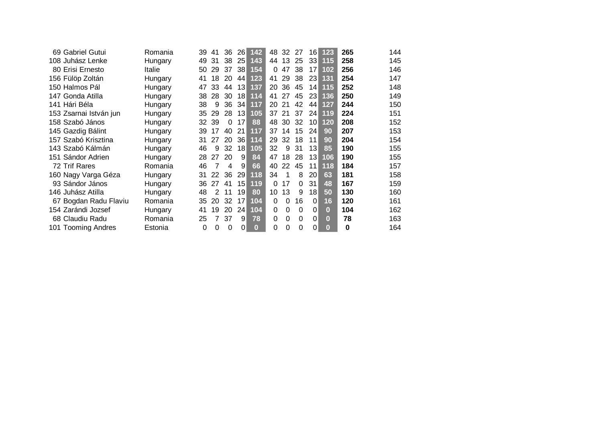| 69 Gabriel Gutui         | Romania | 39       | 41 | 36       | <b>26</b>       | 142      | 48       | 32       | 27       | 16              | 123      | 265 | 144 |
|--------------------------|---------|----------|----|----------|-----------------|----------|----------|----------|----------|-----------------|----------|-----|-----|
| 108 Juhász Lenke         | Hungary | 49       | 31 | 38       | 25              | 143      | 44       | 13       | 25       | 33              | 115      | 258 | 145 |
| 80 Erisi Ernesto         | Italie  | 50       | 29 | 37       | 38              | 154      | $\Omega$ | 47       | 38       | 17              | 102      | 256 | 146 |
| 156 Fülöp Zoltán         | Hungary | 41       | 18 | 20       | 44              | 123      | 41       | 29       | 38       | 23              | 131      | 254 | 147 |
| 150 Halmos Pál           | Hungary | 47       | 33 | 44       | 13              | 137      | 20       | 36       | 45       | 14              | 115      | 252 | 148 |
| 147 Gonda Atilla         | Hungary | 38       | 28 | 30       | 18              | 114      | 41       | 27       | 45       | 23              | 136      | 250 | 149 |
| 141 Hári Béla            | Hungary | 38       | 9  | 36       | 34              | 117      | 20       | 21       | 42       | 44              | 127      | 244 | 150 |
| 153 Zsarnai István jun   | Hungary | 35       | 29 | 28       | 13              | 105      | 37       | 21       | 37       | 24              | 119      | 224 | 151 |
| 158 Szabó János          | Hungary | 32       | 39 | $\Omega$ | 17              | 88       | 48       | 30       | 32       | 10 <sup>1</sup> | 120      | 208 | 152 |
| 145 Gazdig Bálint        | Hungary | 39       | 17 | 40       | 21              | 117      | 37       | 14       | 15       | 24              | 90       | 207 | 153 |
| 157 Szabó Krisztina      | Hungary | 31       | 27 | 20       | 36 <sup>2</sup> | 114      | 29       | 32       | 18       | 11              | 90       | 204 | 154 |
| 143 Szabó Kálmán         | Hungary | 46       | 9  | 32       | 18              | 105      | 32       | 9        | 31       | 13              | 85       | 190 | 155 |
| 151 Sándor Adrien        | Hungary | 28       | 27 | 20       | 9               | 84       | 47       | 18       | 28       | 13              | 106      | 190 | 155 |
| 72 Trif Rares            | Romania | 46       | 7  | 4        | 9               | 66       | 40       | 22       | 45       | 11              | 118      | 184 | 157 |
| 160 Nagy Varga Géza      | Hungary | 31       | 22 | 36       | 29              | 118      | 34       |          | 8        | 20              | 63       | 181 | 158 |
| 93 Sándor János          | Hungary | 36       | 27 | 41       | 15              | 119      | $\Omega$ | 17       | $\Omega$ | 31              | 48       | 167 | 159 |
| 146 Juhász Atilla        | Hungary | 48       | 2  | 11       | 19              | 80       | 10       | 13       | 9        | 18              | 50       | 130 | 160 |
| Bogdan Radu Flaviu<br>67 | Romania | 35       | 20 | 32       | 17              | 104      | 0        | $\Omega$ | 16       | 0               | 16       | 120 | 161 |
| 154 Zarándi Jozsef       | Hungary | 41       | 19 | 20       | 24              | 104      | 0        | 0        | 0        | 0               | $\bf{0}$ | 104 | 162 |
| 68 Claudiu Radu          | Romania | 25       | 7  | 37       | 9               | 78       | 0        | $\Omega$ | $\Omega$ | $\Omega$        | $\bf{0}$ | 78  | 163 |
| 101 Tooming Andres       | Estonia | $\Omega$ | 0  | $\Omega$ | 0               | $\bf{0}$ | $\Omega$ | 0        | 0        | 0               | 01       | 0   | 164 |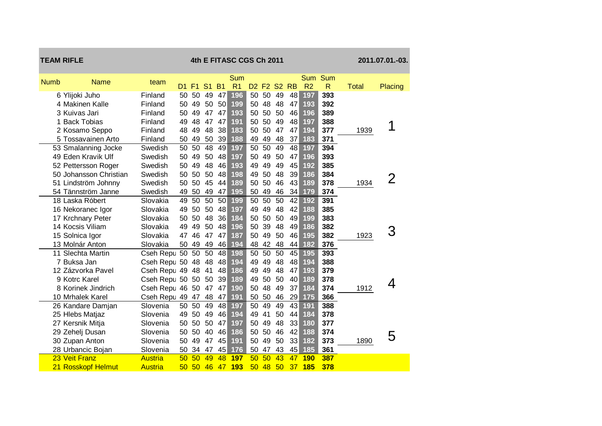| <b>TEAM RIFLE</b> |                                    |                            |             |          |                      |                 | 4th E FITASC CGS Ch 2011 |                                     |          |                 |                 |                       |                     |              | 2011.07.01.-03. |
|-------------------|------------------------------------|----------------------------|-------------|----------|----------------------|-----------------|--------------------------|-------------------------------------|----------|-----------------|-----------------|-----------------------|---------------------|--------------|-----------------|
| <b>Numb</b>       | <b>Name</b>                        | team                       |             |          |                      |                 | Sum                      |                                     |          |                 |                 | Sum Sum               |                     |              |                 |
|                   | 6 Ylijoki Juho                     | Finland                    | D1 F1<br>50 | 50       | S <sub>1</sub><br>49 | <b>B1</b><br>47 | R <sub>1</sub><br>196    | D <sub>2</sub> F <sub>2</sub><br>50 | 50       | <b>S2</b><br>49 | <b>RB</b><br>48 | R <sub>2</sub><br>197 | $\mathsf{R}$<br>393 | <b>Total</b> | Placing         |
|                   | 4 Makinen Kalle                    | Finland                    | 50          | 49       | 50                   | 50              | 199                      | 50                                  | 48       | 48              | 47              | 193                   | 392                 |              |                 |
|                   | 3 Kuivas Jari                      | Finland                    | 50          | 49       | 47                   | 47              | 193                      | 50                                  | 50       | 50              | 46              | 196                   | 389                 |              |                 |
|                   | 1 Back Tobias                      | Finland                    | 49          | 48       | 47                   | 47              | 191                      | 50                                  | 50       | 49              | 48              | 197                   | 388                 |              |                 |
|                   | 2 Kosamo Seppo                     | Finland                    | 48          | 49       | 48                   | 38              | 183                      | 50                                  | 50       | 47              | 47              | 194                   | 377                 | 1939         | 1               |
|                   | 5 Tossavainen Arto                 | Finland                    | 50          | 49       | 50                   | 39              | 188                      | 49                                  | 49       | 48              | 37              | 183                   | 371                 |              |                 |
|                   | 53 Smalanning Jocke                | Swedish                    | 50          | 50       | 48                   | 49              | 197                      | 50                                  | 50       | 49              | 48              | 197                   | 394                 |              |                 |
|                   | 49 Eden Kravik Ulf                 | Swedish                    | 50          | 49       | 50                   | 48              | 197                      | 50                                  | 49       | 50              | 47              | 196                   | 393                 |              |                 |
|                   | 52 Pettersson Roger                | Swedish                    | 50          | 49       | 48                   | 46              | 193                      | 49                                  | 49       | 49              | 45              | 192                   | 385                 |              |                 |
|                   | 50 Johansson Christian             | Swedish                    | 50          | 50       | 50                   | 48              | 198                      | 49                                  | 50       | 48              | 39              | 186                   | 384                 |              | 2               |
|                   | 51 Lindström Johnny                | Swedish                    | 50          | 50       | 45                   | 44              | 189                      | 50                                  | 50       | 46              | 43              | 189                   | 378                 | 1934         |                 |
|                   | 54 Tännström Janne                 | Swedish                    | 49          | 50       | 49                   | 47              | 195                      | 50                                  | 49       | 46              | 34              | 179                   | 374                 |              |                 |
|                   | 18 Laska Róbert                    | Slovakia                   | 49          | 50       | 50                   | 50              | 199                      | 50                                  | 50       | 50              | 42              | 192                   | 391                 |              |                 |
|                   | 16 Nekoranec Igor                  | Slovakia                   | 49          | 50       | 50                   | 48              | 197                      | 49                                  | 49       | 48              | 42              | 188                   | 385                 |              |                 |
|                   | 17 Krchnary Peter                  | Slovakia                   | 50          | 50       | 48                   | 36              | 184                      | 50                                  | 50       | 50              | 49              | 199                   | 383                 |              |                 |
|                   | 14 Kocsis Viliam                   | Slovakia                   | 49          | 49       | 50                   | 48              | 196                      | 50                                  | 39       | 48              | 49              | 186                   | 382                 |              | З               |
|                   | 15 Solnica Igor                    | Slovakia                   | 47          | 46       | 47                   | 47              | 187                      | 50                                  | 49       | 50              | 46              | 195                   | 382                 | 1923         |                 |
|                   | 13 Molnár Anton                    | Slovakia                   | 50          | 49       | 49                   | 46              | 194                      | 48                                  | 42       | 48              | 44              | 182                   | 376                 |              |                 |
|                   | 11 Slechta Martin                  | Cseh Repu 50               |             | 50       | 50                   | 48              | 198                      | 50                                  | 50       | 50              | 45              | 195                   | 393                 |              |                 |
|                   | 7 Buksa Jan                        | Cseh Repu 50               |             | 48       | 48                   | 48              | 194                      | 49                                  | 49       | 48              | 48              | 194                   | 388                 |              |                 |
|                   | 12 Zázvorka Pavel                  | Cseh Repu 49               |             | 48       | 41                   | 48              | 186                      | 49                                  | 49       | 48              | 47              | 193                   | 379                 |              |                 |
|                   | 9 Kotrc Karel                      | Cseh Repu 50               |             | 50       | 50                   | 39              | 189                      | 49                                  | 50       | 50              | 40              | 189                   | 378                 |              | 4               |
|                   | 8 Korinek Jindrich                 | Cseh Repu 46               |             | 50       | 47                   | 47              | 190                      | 50                                  | 48       | 49              | 37              | 184                   | 374                 | 1912         |                 |
|                   | 10 Mrhalek Karel                   | Cseh Repu 49 47            |             |          | 48                   | 47              | 191                      | 50                                  | 50       | 46              | 29              | 175                   | 366                 |              |                 |
|                   | 26 Kandare Damjan                  | Slovenia                   | 50          | 50       | 49                   | 48              | 197                      | 50                                  | 49       | 49              | 43              | 191                   | 388                 |              |                 |
|                   | 25 Hlebs Matjaz                    | Slovenia                   | 49          | 50       | 49                   | 46              | 194                      | 49                                  | 41       | 50              | 44              | 184                   | 378                 |              |                 |
|                   | 27 Kersnik Mitja                   | Slovenia                   | 50          | 50       | 50                   | 47              | 197                      | 50                                  | 49       | 48              | 33              | 180                   | 377                 |              |                 |
|                   | 29 Zehelj Dusan                    | Slovenia                   | 50          | 50       | 40                   | 46              | 186                      | 50                                  | 50       | 46              | 42              | 188                   | 374                 |              | 5               |
|                   | 30 Zupan Anton                     | Slovenia                   | 50          | 49       | 47                   | 45              | 191                      | 50                                  | 49       | 50              | 33              | 182                   | 373                 | 1890         |                 |
|                   | 28 Urbancic Bojan<br>23 Veit Franz | Slovenia<br><b>Austria</b> | 50<br>50    | 34<br>50 | 47<br>49             | 45<br>48        | 176<br>197               | 50<br>50                            | 47<br>50 | 43<br>43        | 45<br>47        | 185<br><b>190</b>     | 361<br>387          |              |                 |
|                   | 21 Rosskopf Helmut                 |                            | 50          | 50       | 46                   | 47              | 193                      | 50                                  | 48       | 50              | 37              | <b>185</b>            | 378                 |              |                 |
|                   |                                    | Austria                    |             |          |                      |                 |                          |                                     |          |                 |                 |                       |                     |              |                 |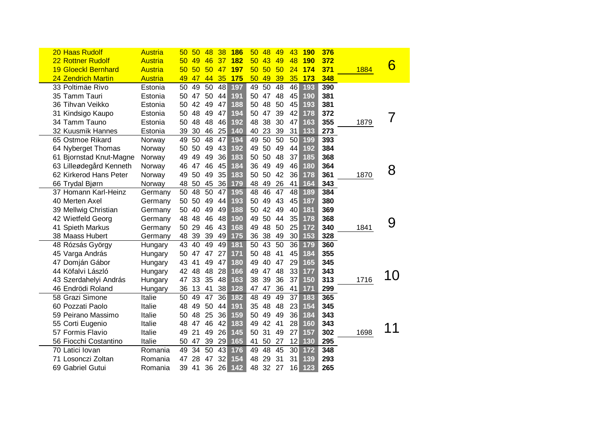| 20 Haas Rudolf             | <b>Austria</b> | 50 | 50 | 48 | 38  | <b>186</b> | 50 | 48 | 49 | 43 | <b>190</b> | 376 |      |    |
|----------------------------|----------------|----|----|----|-----|------------|----|----|----|----|------------|-----|------|----|
| 22 Rottner Rudolf          | <b>Austria</b> | 50 | 49 | 46 | 37  | <b>182</b> | 50 | 43 | 49 | 48 | <b>190</b> | 372 |      |    |
| <b>19 Gloeckl Bernhard</b> | <b>Austria</b> | 50 | 50 | 50 | -47 | <b>197</b> | 50 | 50 | 50 | 24 | 174        | 371 | 1884 | 6  |
| 24 Zendrich Martin         | <b>Austria</b> | 49 | 47 | 44 | 35  | 175        | 50 | 49 | 39 | 35 | 173        | 348 |      |    |
| 33 Poltimäe Rivo           | Estonia        | 50 | 49 | 50 | 48  | 197        | 49 | 50 | 48 | 46 | 193        | 390 |      |    |
| 35 Tamm Tauri              | Estonia        | 50 | 47 | 50 | 44  | 191        | 50 | 47 | 48 | 45 | 190        | 381 |      |    |
| 36 Tihvan Veikko           | Estonia        | 50 | 42 | 49 | 47  | 188        | 50 | 48 | 50 | 45 | 193        | 381 |      |    |
| 31 Kindsigo Kaupo          | Estonia        | 50 | 48 | 49 | 47  | 194        | 50 | 47 | 39 | 42 | 178        | 372 |      |    |
| 34 Tamm Tauno              | Estonia        | 50 | 48 | 48 | 46  | 192        | 48 | 38 | 30 | 47 | 163        | 355 | 1879 |    |
| 32 Kuusmik Hannes          | Estonia        | 39 | 30 | 46 | 25  | 140        | 40 | 23 | 39 | 31 | 133        | 273 |      |    |
| 65 Ostmoe Rikard           | Norway         | 49 | 50 | 48 | 47  | 194        | 49 | 50 | 50 | 50 | 199        | 393 |      |    |
| 64 Nyberget Thomas         | Norway         | 50 | 50 | 49 | 43  | 192        | 49 | 50 | 49 | 44 | 192        | 384 |      |    |
| 61 Bjornstad Knut-Magne    | Norway         | 49 | 49 | 49 | 36  | 183        | 50 | 50 | 48 | 37 | 185        | 368 |      |    |
| 63 Lilleødegård Kenneth    | Norway         | 46 | 47 | 46 | 45  | 184        | 36 | 49 | 49 | 46 | 180        | 364 |      | 8  |
| 62 Kirkerod Hans Peter     | Norway         | 49 | 50 | 49 | 35  | 183        | 50 | 50 | 42 | 36 | 178        | 361 | 1870 |    |
| 66 Trydal Bjørn            | Norway         | 48 | 50 | 45 | 36  | 179        | 48 | 49 | 26 | 41 | 164        | 343 |      |    |
| 37 Homann Karl-Heinz       | Germany        | 50 | 48 | 50 | 47  | 195        | 48 | 46 | 47 | 48 | 189        | 384 |      |    |
| 40 Merten Axel             | Germany        | 50 | 50 | 49 | 44  | 193        | 50 | 49 | 43 | 45 | 187        | 380 |      |    |
| 39 Mellwig Christian       | Germany        | 50 | 40 | 49 | 49  | 188        | 50 | 42 | 49 | 40 | 181        | 369 |      |    |
| 42 Wietfeld Georg          | Germany        | 48 | 48 | 46 | 48  | 190        | 49 | 50 | 44 | 35 | 178        | 368 |      | 9  |
| 41 Spieth Markus           | Germany        | 50 | 29 | 46 | 43  | 168        | 49 | 48 | 50 | 25 | 172        | 340 | 1841 |    |
| 38 Maass Hubert            | Germany        | 48 | 39 | 39 | 49  | 175        | 36 | 38 | 49 | 30 | 153        | 328 |      |    |
| 48 Rózsás György           | Hungary        | 43 | 40 | 49 | 49  | 181        | 50 | 43 | 50 | 36 | 179        | 360 |      |    |
| 45 Varga András            | Hungary        | 50 | 47 | 47 | 27  | 171        | 50 | 48 | 41 | 45 | 184        | 355 |      |    |
| 47 Domján Gábor            | Hungary        | 43 | 41 | 49 | 47  | 180        | 49 | 40 | 47 | 29 | 165        | 345 |      |    |
| 44 Köfalvi László          | Hungary        | 42 | 48 | 48 | 28  | 166        | 49 | 47 | 48 | 33 | 177        | 343 |      | 10 |
| 43 Szerdahelyi András      | Hungary        | 47 | 33 | 35 | 48  | 163        | 38 | 39 | 36 | 37 | 150        | 313 | 1716 |    |
| 46 Endrödi Roland          | Hungary        | 36 | 13 | 41 | 38  | 128        | 47 | 47 | 36 | 41 | 171        | 299 |      |    |
| 58 Grazi Simone            | Italie         | 50 | 49 | 47 | 36  | 182        | 48 | 49 | 49 | 37 | 183        | 365 |      |    |
| 60 Pozzati Paolo           | Italie         | 48 | 49 | 50 | 44  | 191        | 35 | 48 | 48 | 23 | 154        | 345 |      |    |
| 59 Peirano Massimo         | Italie         | 50 | 48 | 25 | 36  | 159        | 50 | 49 | 49 | 36 | 184        | 343 |      |    |
| 55 Corti Eugenio           | Italie         | 48 | 47 | 46 | 42  | 183        | 49 | 42 | 41 | 28 | 160        | 343 |      |    |
| 57 Formis Flavio           | Italie         | 49 | 21 | 49 | 26  | 145        | 50 | 31 | 49 | 27 | 157        | 302 | 1698 |    |
| 56 Fiocchi Costantino      | Italie         | 50 | 47 | 39 | 29  | 165        | 41 | 50 | 27 | 12 | 130        | 295 |      |    |
| 70 Latici Iovan            | Romania        | 49 | 34 | 50 | 43  | 176        | 49 | 48 | 45 | 30 | 172        | 348 |      |    |
| Losonczi Zoltan<br>71      | Romania        | 47 | 28 | 47 | 32  | 154        | 48 | 29 | 31 | 31 | 139        | 293 |      |    |
| 69 Gabriel Gutui           | Romania        | 39 | 41 | 36 | 26  | 142        | 48 | 32 | 27 | 16 | 123        | 265 |      |    |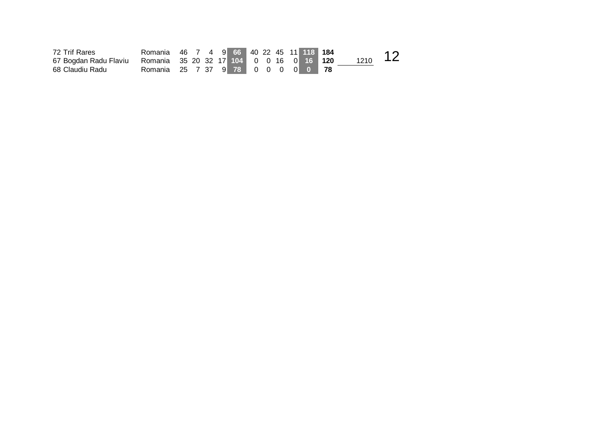| 72 Trif Rares         | Romania 46 7 4 9 66 40 22 45 11 118 184 |  |  |  |  |  |      |  |
|-----------------------|-----------------------------------------|--|--|--|--|--|------|--|
| 67 Bogdan Radu Flaviu | Romania 35 20 32 17 104 0 0 16 0 16 120 |  |  |  |  |  | 1210 |  |
| 68 Claudiu Radu       | Romania 25 7 37 9 78 0 0 0 0 0 78       |  |  |  |  |  |      |  |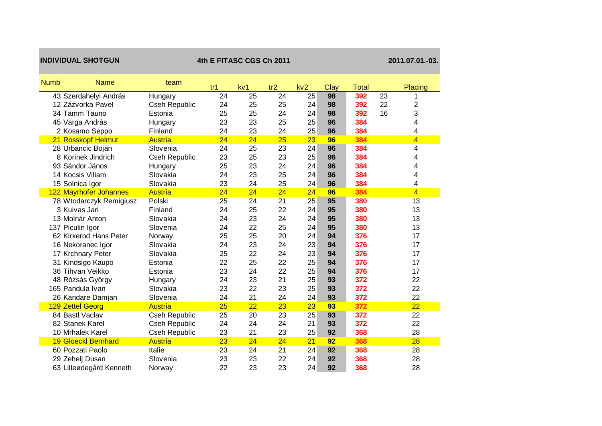| <b>INDIVIDUAL SHOTGUN</b>  |                      | 4th E FITASC CGS Ch 2011 | 2011.07.01.-03. |     |     |      |              |    |                |
|----------------------------|----------------------|--------------------------|-----------------|-----|-----|------|--------------|----|----------------|
| <b>Name</b><br><b>Numb</b> | team                 | tr <sub>1</sub>          | kv <sub>1</sub> | tr2 | kv2 | Clay | <b>Total</b> |    | Placing        |
| 43 Szerdahelyi András      | Hungary              | 24                       | 25              | 24  | 25  | 98   | 392          | 23 |                |
| 12 Zázvorka Pavel          | Cseh Republic        | 24                       | 25              | 25  | 24  | 98   | 392          | 22 | 2              |
| 34 Tamm Tauno              | Estonia              | 25                       | 25              | 24  | 24  | 98   | 392          | 16 | 3              |
| 45 Varga András            | Hungary              | 23                       | 23              | 25  | 25  | 96   | 384          |    | 4              |
| 2 Kosamo Seppo             | Finland              | 24                       | 23              | 24  | 25  | 96   | 384          |    | 4              |
| 21 Rosskopf Helmut         | Austria              | 24                       | 24              | 25  | 23  | 96   | 384          |    | $\overline{4}$ |
| 28 Urbancic Bojan          | Slovenia             | 24                       | 25              | 23  | 24  | 96   | 384          |    | 4              |
| 8 Korinek Jindrich         | Cseh Republic        | 23                       | 25              | 23  | 25  | 96   | 384          |    | 4              |
| 93 Sándor János            | Hungary              | 25                       | 23              | 24  | 24  | 96   | 384          |    | 4              |
| 14 Kocsis Viliam           | Slovakia             | 24                       | 23              | 25  | 24  | 96   | 384          |    | 4              |
| 15 Solnica Igor            | Slovakia             | 23                       | 24              | 25  | 24  | 96   | 384          |    | 4              |
| 122 Mayrhofer Johannes     | <b>Austria</b>       | 24                       | 24              | 24  | 24  | 96   | 384          |    | $\overline{4}$ |
| 78 Wtodarczyk Remigiusz    | Polski               | 25                       | 24              | 21  | 25  | 95   | 380          |    | 13             |
| 3 Kuivas Jari              | Finland              | 24                       | 25              | 22  | 24  | 95   | 380          |    | 13             |
| 13 Molnár Anton            | Slovakia             | 24                       | 23              | 24  | 24  | 95   | 380          |    | 13             |
| 137 Piculin Igor           | Slovenia             | 24                       | 22              | 25  | 24  | 95   | 380          |    | 13             |
| 62 Kirkerod Hans Peter     | Norway               | 25                       | 25              | 20  | 24  | 94   | 376          |    | 17             |
| 16 Nekoranec Igor          | Slovakia             | 24                       | 23              | 24  | 23  | 94   | 376          |    | 17             |
| 17 Krchnary Peter          | Slovakia             | 25                       | 22              | 24  | 23  | 94   | 376          |    | 17             |
| 31 Kindsigo Kaupo          | Estonia              | 22                       | 25              | 22  | 25  | 94   | 376          |    | 17             |
| 36 Tihvan Veikko           | Estonia              | 23                       | 24              | 22  | 25  | 94   | 376          |    | 17             |
| 48 Rózsás György           | Hungary              | 24                       | 23              | 21  | 25  | 93   | 372          |    | 22             |
| 165 Pandula Ivan           | Slovakia             | 23                       | 22              | 23  | 25  | 93   | 372          |    | 22             |
| 26 Kandare Damjan          | Slovenia             | 24                       | 21              | 24  | 24  | 93   | 372          |    | 22             |
| 129 Zettel Georg           | <b>Austria</b>       | 25                       | 22              | 23  | 23  | 93   | 372          |    | 22             |
| 84 Bastl Vaclav            | <b>Cseh Republic</b> | 25                       | 20              | 23  | 25  | 93   | 372          |    | 22             |
| 82 Stanek Karel            | Cseh Republic        | 24                       | 24              | 24  | 21  | 93   | 372          |    | 22             |
| 10 Mrhalek Karel           | Cseh Republic        | 23                       | 21              | 23  | 25  | 92   | 368          |    | 28             |
| <b>19 Gloeckl Bernhard</b> | <b>Austria</b>       | 23                       | 24              | 24  | 21  | 92   | 368          |    | 28             |
| 60 Pozzati Paolo           | Italie               | 23                       | 24              | 21  | 24  | 92   | 368          |    | 28             |
| 29 Zehelj Dusan            | Slovenia             | 23                       | 23              | 22  | 24  | 92   | 368          |    | 28             |
| 63 Lilleødegård Kenneth    | Norway               | 22                       | 23              | 23  | 24  | 92   | 368          |    | 28             |

a sa kacamatan ing Kabupatèn Kabupatèn Kabupatèn Kabupatèn Kabupatèn Kabupatèn Kabupatèn Kabupatèn Kabupatèn K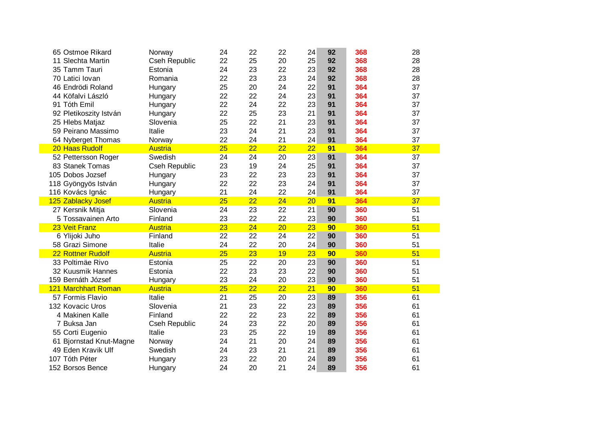| 65 Ostmoe Rikard           | Norway               | 24 | 22 | 22 | 24 | 92 | 368 | 28 |
|----------------------------|----------------------|----|----|----|----|----|-----|----|
| 11 Slechta Martin          | <b>Cseh Republic</b> | 22 | 25 | 20 | 25 | 92 | 368 | 28 |
| 35 Tamm Tauri              | Estonia              | 24 | 23 | 22 | 23 | 92 | 368 | 28 |
| 70 Latici lovan            | Romania              | 22 | 23 | 23 | 24 | 92 | 368 | 28 |
| 46 Endrödi Roland          | Hungary              | 25 | 20 | 24 | 22 | 91 | 364 | 37 |
| 44 Köfalvi László          | Hungary              | 22 | 22 | 24 | 23 | 91 | 364 | 37 |
| 91 Tóth Emil               | Hungary              | 22 | 24 | 22 | 23 | 91 | 364 | 37 |
| 92 Pletikoszity István     | Hungary              | 22 | 25 | 23 | 21 | 91 | 364 | 37 |
| 25 Hlebs Matjaz            | Slovenia             | 25 | 22 | 21 | 23 | 91 | 364 | 37 |
| 59 Peirano Massimo         | Italie               | 23 | 24 | 21 | 23 | 91 | 364 | 37 |
| 64 Nyberget Thomas         | Norway               | 22 | 24 | 21 | 24 | 91 | 364 | 37 |
| 20 Haas Rudolf             | <b>Austria</b>       | 25 | 22 | 22 | 22 | 91 | 364 | 37 |
| 52 Pettersson Roger        | Swedish              | 24 | 24 | 20 | 23 | 91 | 364 | 37 |
| 83 Stanek Tomas            | <b>Cseh Republic</b> | 23 | 19 | 24 | 25 | 91 | 364 | 37 |
| 105 Dobos Jozsef           | Hungary              | 23 | 22 | 23 | 23 | 91 | 364 | 37 |
| 118 Gyöngyös István        | Hungary              | 22 | 22 | 23 | 24 | 91 | 364 | 37 |
| 116 Kovács Ignác           | Hungary              | 21 | 24 | 22 | 24 | 91 | 364 | 37 |
| 125 Zablacky Josef         | <b>Austria</b>       | 25 | 22 | 24 | 20 | 91 | 364 | 37 |
| 27 Kersnik Mitja           | Slovenia             | 24 | 23 | 22 | 21 | 90 | 360 | 51 |
| 5 Tossavainen Arto         | Finland              | 23 | 22 | 22 | 23 | 90 | 360 | 51 |
| 23 Veit Franz              | <b>Austria</b>       | 23 | 24 | 20 | 23 | 90 | 360 | 51 |
| 6 Ylijoki Juho             | Finland              | 22 | 22 | 24 | 22 | 90 | 360 | 51 |
| 58 Grazi Simone            | Italie               | 24 | 22 | 20 | 24 | 90 | 360 | 51 |
| 22 Rottner Rudolf          | <b>Austria</b>       | 25 | 23 | 19 | 23 | 90 | 360 | 51 |
| 33 Poltimäe Rivo           | Estonia              | 25 | 22 | 20 | 23 | 90 | 360 | 51 |
| 32 Kuusmik Hannes          | Estonia              | 22 | 23 | 23 | 22 | 90 | 360 | 51 |
| 159 Bernáth József         | Hungary              | 23 | 24 | 20 | 23 | 90 | 360 | 51 |
| <b>121 Marchhart Roman</b> | <b>Austria</b>       | 25 | 22 | 22 | 21 | 90 | 360 | 51 |
| 57 Formis Flavio           | Italie               | 21 | 25 | 20 | 23 | 89 | 356 | 61 |
| 132 Kovacic Uros           | Slovenia             | 21 | 23 | 22 | 23 | 89 | 356 | 61 |
| 4 Makinen Kalle            | Finland              | 22 | 22 | 23 | 22 | 89 | 356 | 61 |
| 7 Buksa Jan                | Cseh Republic        | 24 | 23 | 22 | 20 | 89 | 356 | 61 |
| 55 Corti Eugenio           | Italie               | 23 | 25 | 22 | 19 | 89 | 356 | 61 |
| 61 Bjornstad Knut-Magne    | Norway               | 24 | 21 | 20 | 24 | 89 | 356 | 61 |
| 49 Eden Kravik Ulf         | Swedish              | 24 | 23 | 21 | 21 | 89 | 356 | 61 |
| 107 Tóth Péter             | Hungary              | 23 | 22 | 20 | 24 | 89 | 356 | 61 |
| 152 Borsos Bence           | Hungary              | 24 | 20 | 21 | 24 | 89 | 356 | 61 |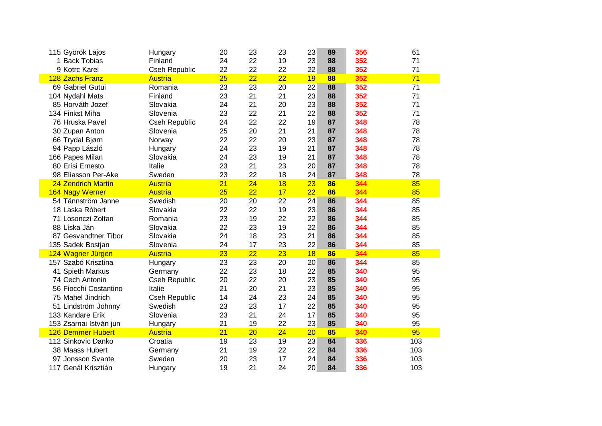| 115 Györök Lajos         | Hungary              | 20 | 23 | 23 | 23 | 89 | 356 | 61  |
|--------------------------|----------------------|----|----|----|----|----|-----|-----|
| 1 Back Tobias            | Finland              | 24 | 22 | 19 | 23 | 88 | 352 | 71  |
| 9 Kotrc Karel            | Cseh Republic        | 22 | 22 | 22 | 22 | 88 | 352 | 71  |
| 128 Zachs Franz          | <b>Austria</b>       | 25 | 22 | 22 | 19 | 88 | 352 | 71  |
| 69 Gabriel Gutui         | Romania              | 23 | 23 | 20 | 22 | 88 | 352 | 71  |
| 104 Nydahl Mats          | Finland              | 23 | 21 | 21 | 23 | 88 | 352 | 71  |
| 85 Horváth Jozef         | Slovakia             | 24 | 21 | 20 | 23 | 88 | 352 | 71  |
| 134 Finkst Miha          | Slovenia             | 23 | 22 | 21 | 22 | 88 | 352 | 71  |
| 76 Hruska Pavel          | Cseh Republic        | 24 | 22 | 22 | 19 | 87 | 348 | 78  |
| 30 Zupan Anton           | Slovenia             | 25 | 20 | 21 | 21 | 87 | 348 | 78  |
| 66 Trydal Bjørn          | Norway               | 22 | 22 | 20 | 23 | 87 | 348 | 78  |
| 94 Papp László           | Hungary              | 24 | 23 | 19 | 21 | 87 | 348 | 78  |
| 166 Papes Milan          | Slovakia             | 24 | 23 | 19 | 21 | 87 | 348 | 78  |
| 80 Erisi Ernesto         | Italie               | 23 | 21 | 23 | 20 | 87 | 348 | 78  |
| 98 Eliasson Per-Ake      | Sweden               | 23 | 22 | 18 | 24 | 87 | 348 | 78  |
| 24 Zendrich Martin       | <b>Austria</b>       | 21 | 24 | 18 | 23 | 86 | 344 | 85  |
| 164 Nagy Werner          | <b>Austria</b>       | 25 | 22 | 17 | 22 | 86 | 344 | 85  |
| 54 Tännström Janne       | Swedish              | 20 | 20 | 22 | 24 | 86 | 344 | 85  |
| 18 Laska Róbert          | Slovakia             | 22 | 22 | 19 | 23 | 86 | 344 | 85  |
| 71 Losonczi Zoltan       | Romania              | 23 | 19 | 22 | 22 | 86 | 344 | 85  |
| 88 Líska Ján             | Slovakia             | 22 | 23 | 19 | 22 | 86 | 344 | 85  |
| 87 Gesvandtner Tibor     | Slovakia             | 24 | 18 | 23 | 21 | 86 | 344 | 85  |
| 135 Sadek Bostjan        | Slovenia             | 24 | 17 | 23 | 22 | 86 | 344 | 85  |
| 124 Wagner Jürgen        | <b>Austria</b>       | 23 | 22 | 23 | 18 | 86 | 344 | 85  |
| 157 Szabó Krisztina      | Hungary              | 23 | 23 | 20 | 20 | 86 | 344 | 85  |
| 41 Spieth Markus         | Germany              | 22 | 23 | 18 | 22 | 85 | 340 | 95  |
| 74 Cech Antonin          | Cseh Republic        | 20 | 22 | 20 | 23 | 85 | 340 | 95  |
| 56 Fiocchi Costantino    | Italie               | 21 | 20 | 21 | 23 | 85 | 340 | 95  |
| 75 Mahel Jindrich        | <b>Cseh Republic</b> | 14 | 24 | 23 | 24 | 85 | 340 | 95  |
| 51 Lindström Johnny      | Swedish              | 23 | 23 | 17 | 22 | 85 | 340 | 95  |
| 133 Kandare Erik         | Slovenia             | 23 | 21 | 24 | 17 | 85 | 340 | 95  |
| 153 Zsarnai István jun   | Hungary              | 21 | 19 | 22 | 23 | 85 | 340 | 95  |
| <b>126 Demmer Hubert</b> | <b>Austria</b>       | 21 | 20 | 24 | 20 | 85 | 340 | 95  |
| 112 Sinkovic Danko       | Croatia              | 19 | 23 | 19 | 23 | 84 | 336 | 103 |
| 38 Maass Hubert          | Germany              | 21 | 19 | 22 | 22 | 84 | 336 | 103 |
| 97 Jonsson Svante        | Sweden               | 20 | 23 | 17 | 24 | 84 | 336 | 103 |
| 117 Genál Krisztián      | Hungary              | 19 | 21 | 24 | 20 | 84 | 336 | 103 |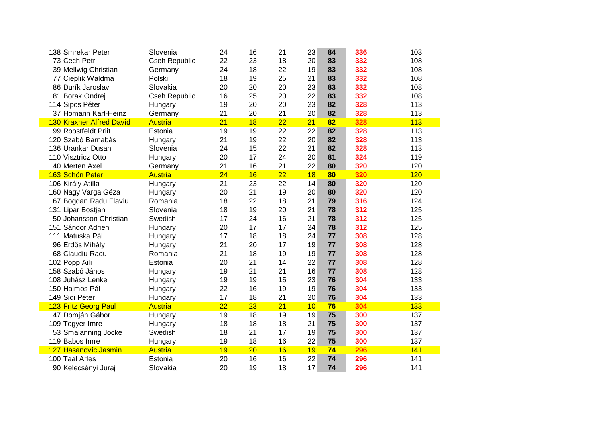| 138 Smrekar Peter               | Slovenia             | 24 | 16 | 21              | 23 | 84 | 336 | 103 |
|---------------------------------|----------------------|----|----|-----------------|----|----|-----|-----|
| 73 Cech Petr                    | <b>Cseh Republic</b> | 22 | 23 | 18              | 20 | 83 | 332 | 108 |
| 39 Mellwig Christian            | Germany              | 24 | 18 | 22              | 19 | 83 | 332 | 108 |
| 77 Cieplik Waldma               | Polski               | 18 | 19 | 25              | 21 | 83 | 332 | 108 |
| 86 Durík Jaroslav               | Slovakia             | 20 | 20 | 20              | 23 | 83 | 332 | 108 |
| 81 Borak Ondrej                 | <b>Cseh Republic</b> | 16 | 25 | 20              | 22 | 83 | 332 | 108 |
| 114 Sipos Péter                 | Hungary              | 19 | 20 | 20              | 23 | 82 | 328 | 113 |
| 37 Homann Karl-Heinz            | Germany              | 21 | 20 | 21              | 20 | 82 | 328 | 113 |
| <b>130 Kraxner Alfred David</b> | <b>Austria</b>       | 21 | 18 | $\overline{22}$ | 21 | 82 | 328 | 113 |
| 99 Roostfeldt Priit             | Estonia              | 19 | 19 | 22              | 22 | 82 | 328 | 113 |
| 120 Szabó Barnabás              | Hungary              | 21 | 19 | 22              | 20 | 82 | 328 | 113 |
| 136 Urankar Dusan               | Slovenia             | 24 | 15 | 22              | 21 | 82 | 328 | 113 |
| 110 Visztricz Otto              | Hungary              | 20 | 17 | 24              | 20 | 81 | 324 | 119 |
| 40 Merten Axel                  | Germany              | 21 | 16 | 21              | 22 | 80 | 320 | 120 |
| 163 Schön Peter                 | <b>Austria</b>       | 24 | 16 | $\overline{22}$ | 18 | 80 | 320 | 120 |
| 106 Király Atilla               | Hungary              | 21 | 23 | 22              | 14 | 80 | 320 | 120 |
| 160 Nagy Varga Géza             | Hungary              | 20 | 21 | 19              | 20 | 80 | 320 | 120 |
| 67 Bogdan Radu Flaviu           | Romania              | 18 | 22 | 18              | 21 | 79 | 316 | 124 |
| 131 Lipar Bostjan               | Slovenia             | 18 | 19 | 20              | 21 | 78 | 312 | 125 |
| 50 Johansson Christian          | Swedish              | 17 | 24 | 16              | 21 | 78 | 312 | 125 |
| 151 Sándor Adrien               | Hungary              | 20 | 17 | 17              | 24 | 78 | 312 | 125 |
| 111 Matuska Pál                 | Hungary              | 17 | 18 | 18              | 24 | 77 | 308 | 128 |
| 96 Erdős Mihály                 | Hungary              | 21 | 20 | 17              | 19 | 77 | 308 | 128 |
| 68 Claudiu Radu                 | Romania              | 21 | 18 | 19              | 19 | 77 | 308 | 128 |
| 102 Popp Aili                   | Estonia              | 20 | 21 | 14              | 22 | 77 | 308 | 128 |
| 158 Szabó János                 | Hungary              | 19 | 21 | 21              | 16 | 77 | 308 | 128 |
| 108 Juhász Lenke                | Hungary              | 19 | 19 | 15              | 23 | 76 | 304 | 133 |
| 150 Halmos Pál                  | Hungary              | 22 | 16 | 19              | 19 | 76 | 304 | 133 |
| 149 Sidi Péter                  | Hungary              | 17 | 18 | 21              | 20 | 76 | 304 | 133 |
| 123 Fritz Georg Paul            | <b>Austria</b>       | 22 | 23 | 21              | 10 | 76 | 304 | 133 |
| 47 Domján Gábor                 | Hungary              | 19 | 18 | 19              | 19 | 75 | 300 | 137 |
| 109 Togyer Imre                 | Hungary              | 18 | 18 | 18              | 21 | 75 | 300 | 137 |
| 53 Smalanning Jocke             | Swedish              | 18 | 21 | 17              | 19 | 75 | 300 | 137 |
| 119 Babos Imre                  | Hungary              | 19 | 18 | 16              | 22 | 75 | 300 | 137 |
| 127 Hasanovic Jasmin            | <b>Austria</b>       | 19 | 20 | 16              | 19 | 74 | 296 | 141 |
| 100 Taal Arles                  | Estonia              | 20 | 16 | 16              | 22 | 74 | 296 | 141 |
| 90 Kelecsényi Juraj             | Slovakia             | 20 | 19 | 18              | 17 | 74 | 296 | 141 |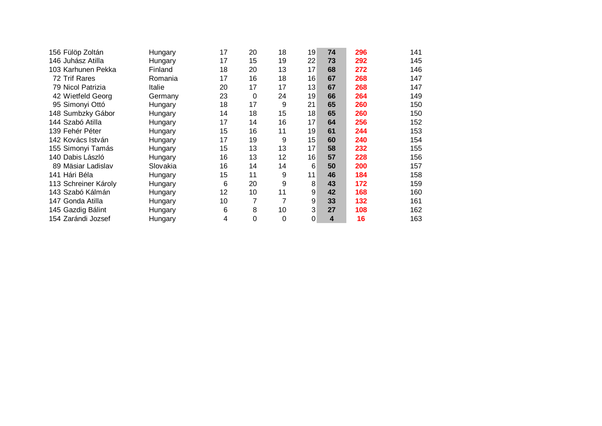| 156 Fülöp Zoltán     | Hungary  | 17 | 20 | 18       | 19 | 74                      | 296 | 141 |
|----------------------|----------|----|----|----------|----|-------------------------|-----|-----|
| 146 Juhász Atilla    | Hungary  | 17 | 15 | 19       | 22 | 73                      | 292 | 145 |
| 103 Karhunen Pekka   | Finland  | 18 | 20 | 13       | 17 | 68                      | 272 | 146 |
| 72 Trif Rares        | Romania  | 17 | 16 | 18       | 16 | 67                      | 268 | 147 |
| 79 Nicol Patrizia    | Italie   | 20 | 17 | 17       | 13 | 67                      | 268 | 147 |
| 42 Wietfeld Georg    | Germany  | 23 | 0  | 24       | 19 | 66                      | 264 | 149 |
| 95 Simonyi Ottó      | Hungary  | 18 | 17 | 9        | 21 | 65                      | 260 | 150 |
| 148 Sumbzky Gábor    | Hungary  | 14 | 18 | 15       | 18 | 65                      | 260 | 150 |
| 144 Szabó Atilla     | Hungary  | 17 | 14 | 16       | 17 | 64                      | 256 | 152 |
| 139 Fehér Péter      | Hungary  | 15 | 16 | 11       | 19 | 61                      | 244 | 153 |
| 142 Kovács István    | Hungary  | 17 | 19 | 9        | 15 | 60                      | 240 | 154 |
| 155 Simonyi Tamás    | Hungary  | 15 | 13 | 13       | 17 | 58                      | 232 | 155 |
| 140 Dabis László     | Hungary  | 16 | 13 | 12       | 16 | 57                      | 228 | 156 |
| 89 Mäsiar Ladislav   | Slovakia | 16 | 14 | 14       | 6  | 50                      | 200 | 157 |
| 141 Hári Béla        | Hungary  | 15 | 11 | 9        | 11 | 46                      | 184 | 158 |
| 113 Schreiner Károly | Hungary  | 6  | 20 | 9        | 8  | 43                      | 172 | 159 |
| 143 Szabó Kálmán     | Hungary  | 12 | 10 | 11       | 9  | 42                      | 168 | 160 |
| 147 Gonda Atilla     | Hungary  | 10 | 7  | 7        | 9  | 33                      | 132 | 161 |
| 145 Gazdig Bálint    | Hungary  | 6  | 8  | 10       | 3  | 27                      | 108 | 162 |
| 154 Zarándi Jozsef   | Hungary  | 4  | 0  | $\Omega$ | 0  | $\overline{\mathbf{4}}$ | 16  | 163 |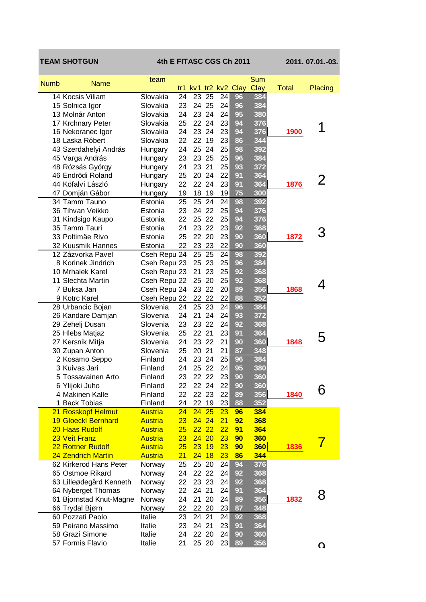|             | <b>TEAM SHOTGUN</b>                   | 4th E FITASC CGS Ch 2011  |          |          |                |          |                      |                    |              | 2011.07.01.-03. |
|-------------|---------------------------------------|---------------------------|----------|----------|----------------|----------|----------------------|--------------------|--------------|-----------------|
| <b>Numb</b> | <b>Name</b>                           | team                      |          |          |                |          | tr1 kv1 tr2 kv2 Clay | Sum<br><b>Clay</b> | <b>Total</b> | Placing         |
|             | 14 Kocsis Viliam                      | Slovakia                  | 24       |          | 23 25          | 24       | 96                   | 384                |              |                 |
|             | 15 Solnica Igor                       | Slovakia                  | 23       |          | 24 25          | 24       | 96                   | 384                |              |                 |
|             | 13 Molnár Anton                       | Slovakia                  | 24       |          | 23 24          | 24       | 95                   | 380                |              |                 |
|             | 17 Krchnary Peter                     | Slovakia                  | 25       |          | 22 24          | 23       | 94                   | 376                |              |                 |
|             | 16 Nekoranec Igor                     | Slovakia                  | 24       |          | 23 24          | 23       | 94                   | 376                | 1900         | 1               |
|             | 18 Laska Róbert                       | Slovakia                  | 22       | 22       | 19             | 23       | 86                   | 344                |              |                 |
|             | 43 Szerdahelyi András                 | Hungary                   | 24       | 25       | 24             | 25       | 98                   | 392                |              |                 |
|             | 45 Varga András                       | Hungary                   | 23       | 23 25    |                | 25       | 96                   | 384                |              |                 |
|             | 48 Rózsás György                      | Hungary                   | 24       | 23 21    |                | 25       | 93                   | 372                |              |                 |
|             | 46 Endrödi Roland                     | Hungary                   | 25       |          | 20 24          | 22       | 91                   | 364                |              | 2               |
|             | 44 Köfalvi László                     | Hungary                   | 22       |          | 22 24          | 23       | 91                   | 364                | 1876         |                 |
|             | 47 Domján Gábor                       | Hungary                   | 19       | 18       | 19             | 19       | 75                   | 300                |              |                 |
|             | 34 Tamm Tauno                         | Estonia                   | 25       | 25       | 24             | 24       | 98                   | 392                |              |                 |
|             | 36 Tihvan Veikko                      | Estonia                   | 23       |          | 24 22          | 25       | 94                   | 376                |              |                 |
|             | 31 Kindsigo Kaupo<br>35 Tamm Tauri    | Estonia                   | 22       |          | 25 22          | 25       | 94                   | 376                |              |                 |
|             | 33 Poltimäe Rivo                      | Estonia                   | 24<br>25 |          | 23 22<br>22 20 | 23<br>23 | 92<br>90             | 368<br>360         | 1872         |                 |
|             | 32 Kuusmik Hannes                     | Estonia<br>Estonia        | 22       | 23       | 23             | 22       | 90                   | 360                |              |                 |
|             | 12 Zázvorka Pavel                     | Cseh Repu 24              |          | 25       | 25             | 24       | 98                   | 392                |              |                 |
|             | 8 Korinek Jindrich                    | Cseh Repu 23              |          | 25 23    |                | 25       | 96                   | 384                |              |                 |
|             | 10 Mrhalek Karel                      | Cseh Repu 23              |          | 21       | 23             | 25       | 92                   | 368                |              |                 |
|             | 11 Slechta Martin                     | Cseh Repu 22              |          |          | 25 20          | 25       | 92                   | 368                |              |                 |
|             | 7 Buksa Jan                           | Cseh Repu 24              |          |          | 23 22          | 20       | 89                   | 356                | 1868         | 4               |
|             | 9 Kotrc Karel                         | Cseh Repu 22              |          |          | 22 22          | 22       | 88                   | 352                |              |                 |
|             | 28 Urbancic Bojan                     | Slovenia                  | 24       |          | 25 23          | 24       | 96                   | 384                |              |                 |
|             | 26 Kandare Damjan                     | Slovenia                  | 24       |          | 21 24          | 24       | 93                   | 372                |              |                 |
|             | 29 Zehelj Dusan                       | Slovenia                  | 23       |          | 23 22          | 24       | 92                   | 368                |              |                 |
|             | 25 Hlebs Matjaz                       | Slovenia                  | 25       | 22 21    |                | 23       | 91                   | 364                |              | 5               |
|             | 27 Kersnik Mitja                      | Slovenia                  | 24       |          | 23 22          | 21       | 90                   | 360                | 1848         |                 |
|             | 30 Zupan Anton                        | Slovenia                  | 25       | 20 21    |                | 21       | 87                   | 348                |              |                 |
|             | 2 Kosamo Seppo                        | Finland                   | 24       | 23       | 24             | 25       | 96                   | 384                |              |                 |
|             | 3 Kuivas Jari                         | Finland                   | 24       | 25       | 22             | 24       | 95                   | 380                |              |                 |
|             | 5 Tossavainen Arto                    | Finland                   | 23       |          | 22 22          | 23       | 90                   | 360                |              |                 |
|             | 6 Ylijoki Juho                        | Finland                   | 22       |          | 22 24          | 22       | 90                   | 360                |              | 6               |
|             | 4 Makinen Kalle<br><b>Back Tobias</b> | Finland                   | 22<br>24 | 22       | 22 23          | 22<br>23 | 89<br>88             | 356<br>352         | 1840         |                 |
| 1.          | 21 Rosskopf Helmut                    | Finland<br><b>Austria</b> | 24       | 24       | 19<br>25       | 23       | 96                   | 384                |              |                 |
|             | <b>19 Gloeckl Bernhard</b>            | <b>Austria</b>            | 23       | 24 24    |                | 21       | 92                   | 368                |              |                 |
|             | 20 Haas Rudolf                        | <b>Austria</b>            | 25       | $22\ 22$ |                | 22       | 91                   | 364                |              |                 |
|             | 23 Veit Franz                         | <b>Austria</b>            | 23       |          | 24 20          | 23       | 90                   | 360                |              |                 |
|             | <b>22 Rottner Rudolf</b>              | <b>Austria</b>            | 25       | 23       | 19             | 23       | 90                   | <b>360</b>         | 1836         |                 |
|             | 24 Zendrich Martin                    | <b>Austria</b>            | 21       | 24       | 18             | 23       | 86                   | 344                |              |                 |
|             | 62 Kirkerod Hans Peter                | Norway                    | 25       | 25       | 20             | 24       | 94                   | 376                |              |                 |
|             | 65 Ostmoe Rikard                      | Norway                    | 24       | 22       | 22             | 24       | 92                   | 368                |              |                 |
|             | 63 Lilleødegård Kenneth               | Norway                    | 22       |          | 23 23          | 24       | 92                   | 368                |              |                 |
|             | 64 Nyberget Thomas                    | Norway                    | 22       | 24 21    |                | 24       | 91                   | 364                |              | 8               |
|             | 61 Bjornstad Knut-Magne               | Norway                    | 24       |          | 21 20          | 24       | 89                   | 356                | 1832         |                 |
|             | 66 Trydal Bjørn                       | Norway                    | 22       |          | 22 20          | 23       | 87                   | 348                |              |                 |
|             | 60 Pozzati Paolo                      | Italie                    | 23       | 24 21    |                | 24       | 92                   | 368                |              |                 |
|             | 59 Peirano Massimo                    | Italie                    | 23       | 24 21    |                | 23       | 91                   | 364                |              |                 |
|             | 58 Grazi Simone                       | Italie                    | 24       |          | 22 20          | 24       | 90                   | 360                |              |                 |
|             | 57 Formis Flavio                      | Italie                    | 21       |          | 25 20          | 23       | 89                   | 356                |              | Ω               |
|             |                                       |                           |          |          |                |          |                      |                    |              |                 |